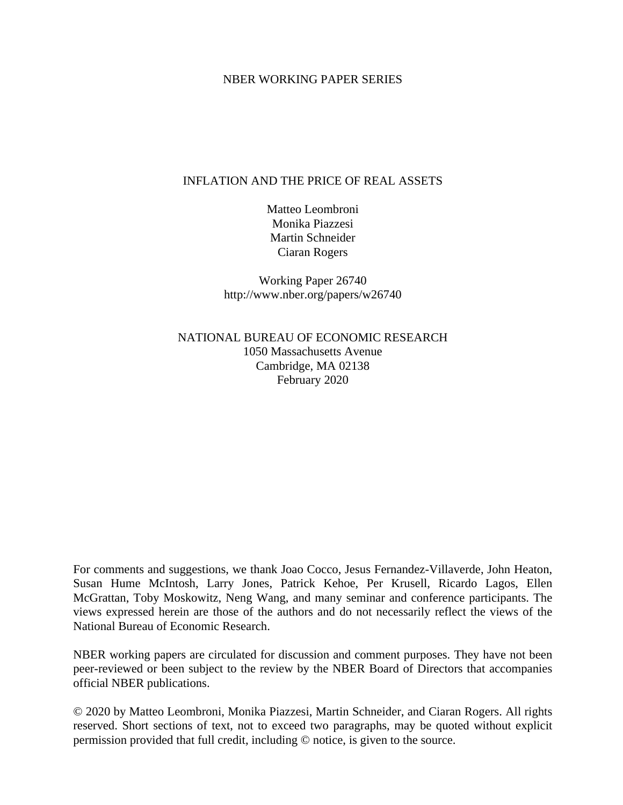# NBER WORKING PAPER SERIES

# INFLATION AND THE PRICE OF REAL ASSETS

Matteo Leombroni Monika Piazzesi Martin Schneider Ciaran Rogers

Working Paper 26740 http://www.nber.org/papers/w26740

NATIONAL BUREAU OF ECONOMIC RESEARCH 1050 Massachusetts Avenue Cambridge, MA 02138 February 2020

For comments and suggestions, we thank Joao Cocco, Jesus Fernandez-Villaverde, John Heaton, Susan Hume McIntosh, Larry Jones, Patrick Kehoe, Per Krusell, Ricardo Lagos, Ellen McGrattan, Toby Moskowitz, Neng Wang, and many seminar and conference participants. The views expressed herein are those of the authors and do not necessarily reflect the views of the National Bureau of Economic Research.

NBER working papers are circulated for discussion and comment purposes. They have not been peer-reviewed or been subject to the review by the NBER Board of Directors that accompanies official NBER publications.

© 2020 by Matteo Leombroni, Monika Piazzesi, Martin Schneider, and Ciaran Rogers. All rights reserved. Short sections of text, not to exceed two paragraphs, may be quoted without explicit permission provided that full credit, including © notice, is given to the source.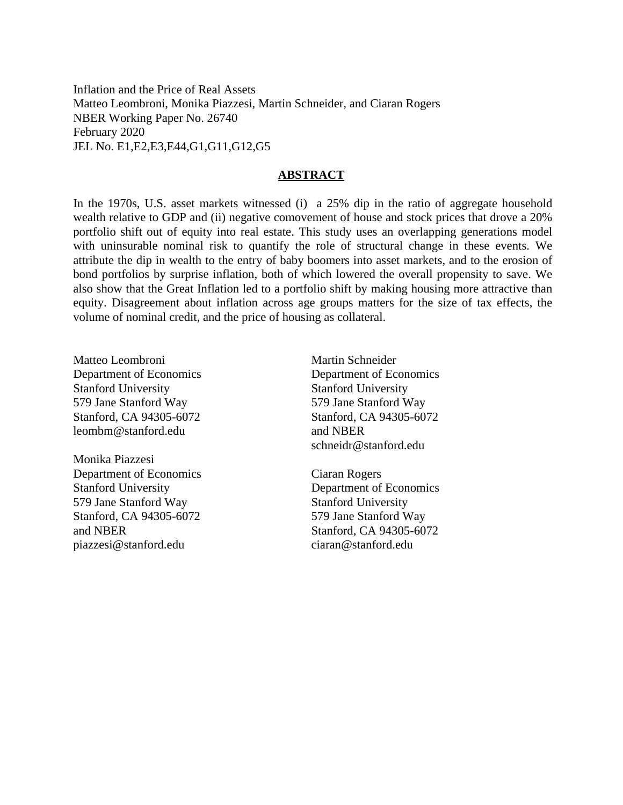Inflation and the Price of Real Assets Matteo Leombroni, Monika Piazzesi, Martin Schneider, and Ciaran Rogers NBER Working Paper No. 26740 February 2020 JEL No. E1,E2,E3,E44,G1,G11,G12,G5

# **ABSTRACT**

In the 1970s, U.S. asset markets witnessed (i) a 25% dip in the ratio of aggregate household wealth relative to GDP and (ii) negative comovement of house and stock prices that drove a 20% portfolio shift out of equity into real estate. This study uses an overlapping generations model with uninsurable nominal risk to quantify the role of structural change in these events. We attribute the dip in wealth to the entry of baby boomers into asset markets, and to the erosion of bond portfolios by surprise inflation, both of which lowered the overall propensity to save. We also show that the Great Inflation led to a portfolio shift by making housing more attractive than equity. Disagreement about inflation across age groups matters for the size of tax effects, the volume of nominal credit, and the price of housing as collateral.

Matteo Leombroni Department of Economics Stanford University 579 Jane Stanford Way Stanford, CA 94305-6072 leombm@stanford.edu

Monika Piazzesi Department of Economics Stanford University 579 Jane Stanford Way Stanford, CA 94305-6072 and NBER piazzesi@stanford.edu

Martin Schneider Department of Economics Stanford University 579 Jane Stanford Way Stanford, CA 94305-6072 and NBER schneidr@stanford.edu

Ciaran Rogers Department of Economics Stanford University 579 Jane Stanford Way Stanford, CA 94305-6072 ciaran@stanford.edu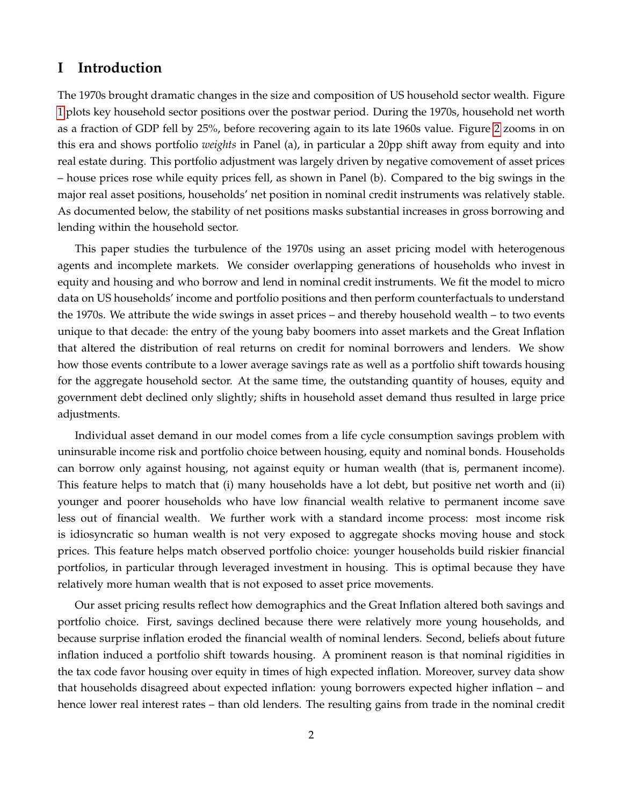# **I Introduction**

The 1970s brought dramatic changes in the size and composition of US household sector wealth. Figure [1](#page-3-0) plots key household sector positions over the postwar period. During the 1970s, household net worth as a fraction of GDP fell by 25%, before recovering again to its late 1960s value. Figure [2](#page-4-0) zooms in on this era and shows portfolio *weights* in Panel (a), in particular a 20pp shift away from equity and into real estate during. This portfolio adjustment was largely driven by negative comovement of asset prices – house prices rose while equity prices fell, as shown in Panel (b). Compared to the big swings in the major real asset positions, households' net position in nominal credit instruments was relatively stable. As documented below, the stability of net positions masks substantial increases in gross borrowing and lending within the household sector.

This paper studies the turbulence of the 1970s using an asset pricing model with heterogenous agents and incomplete markets. We consider overlapping generations of households who invest in equity and housing and who borrow and lend in nominal credit instruments. We fit the model to micro data on US households' income and portfolio positions and then perform counterfactuals to understand the 1970s. We attribute the wide swings in asset prices – and thereby household wealth – to two events unique to that decade: the entry of the young baby boomers into asset markets and the Great Inflation that altered the distribution of real returns on credit for nominal borrowers and lenders. We show how those events contribute to a lower average savings rate as well as a portfolio shift towards housing for the aggregate household sector. At the same time, the outstanding quantity of houses, equity and government debt declined only slightly; shifts in household asset demand thus resulted in large price adjustments.

Individual asset demand in our model comes from a life cycle consumption savings problem with uninsurable income risk and portfolio choice between housing, equity and nominal bonds. Households can borrow only against housing, not against equity or human wealth (that is, permanent income). This feature helps to match that (i) many households have a lot debt, but positive net worth and (ii) younger and poorer households who have low financial wealth relative to permanent income save less out of financial wealth. We further work with a standard income process: most income risk is idiosyncratic so human wealth is not very exposed to aggregate shocks moving house and stock prices. This feature helps match observed portfolio choice: younger households build riskier financial portfolios, in particular through leveraged investment in housing. This is optimal because they have relatively more human wealth that is not exposed to asset price movements.

Our asset pricing results reflect how demographics and the Great Inflation altered both savings and portfolio choice. First, savings declined because there were relatively more young households, and because surprise inflation eroded the financial wealth of nominal lenders. Second, beliefs about future inflation induced a portfolio shift towards housing. A prominent reason is that nominal rigidities in the tax code favor housing over equity in times of high expected inflation. Moreover, survey data show that households disagreed about expected inflation: young borrowers expected higher inflation – and hence lower real interest rates – than old lenders. The resulting gains from trade in the nominal credit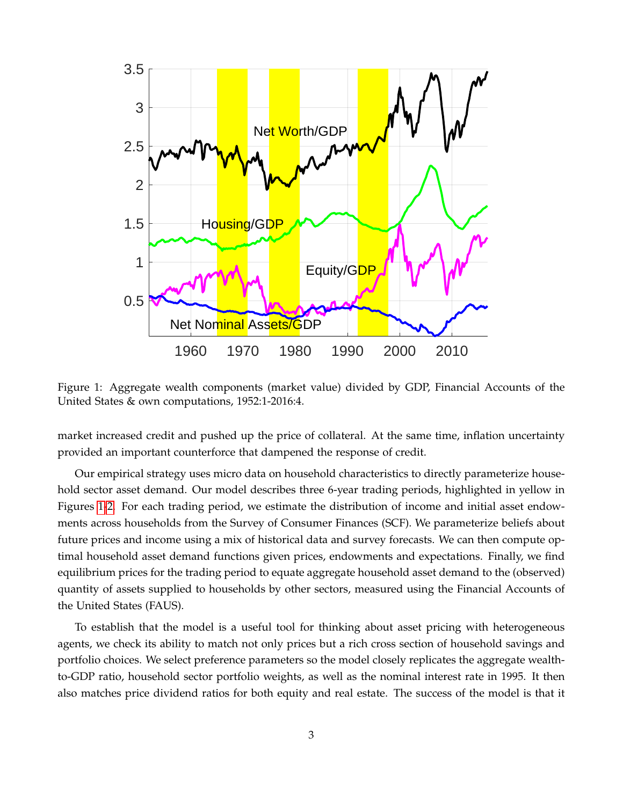

<span id="page-3-0"></span>Figure 1: Aggregate wealth components (market value) divided by GDP, Financial Accounts of the United States & own computations, 1952:1-2016:4.

market increased credit and pushed up the price of collateral. At the same time, inflation uncertainty provided an important counterforce that dampened the response of credit.

Our empirical strategy uses micro data on household characteristics to directly parameterize household sector asset demand. Our model describes three 6-year trading periods, highlighted in yellow in Figures [1-](#page-3-0)[2.](#page-4-0) For each trading period, we estimate the distribution of income and initial asset endowments across households from the Survey of Consumer Finances (SCF). We parameterize beliefs about future prices and income using a mix of historical data and survey forecasts. We can then compute optimal household asset demand functions given prices, endowments and expectations. Finally, we find equilibrium prices for the trading period to equate aggregate household asset demand to the (observed) quantity of assets supplied to households by other sectors, measured using the Financial Accounts of the United States (FAUS).

To establish that the model is a useful tool for thinking about asset pricing with heterogeneous agents, we check its ability to match not only prices but a rich cross section of household savings and portfolio choices. We select preference parameters so the model closely replicates the aggregate wealthto-GDP ratio, household sector portfolio weights, as well as the nominal interest rate in 1995. It then also matches price dividend ratios for both equity and real estate. The success of the model is that it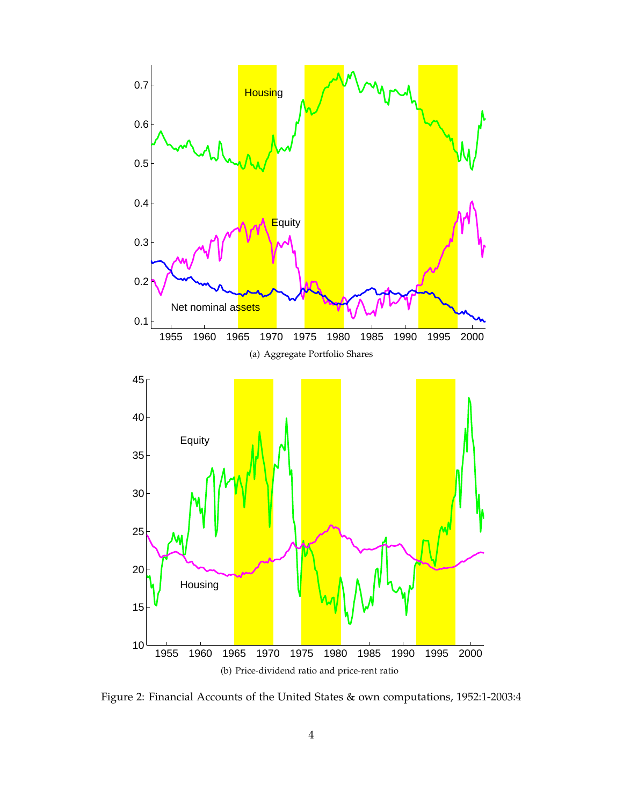

<span id="page-4-0"></span>Figure 2: Financial Accounts of the United States & own computations, 1952:1-2003:4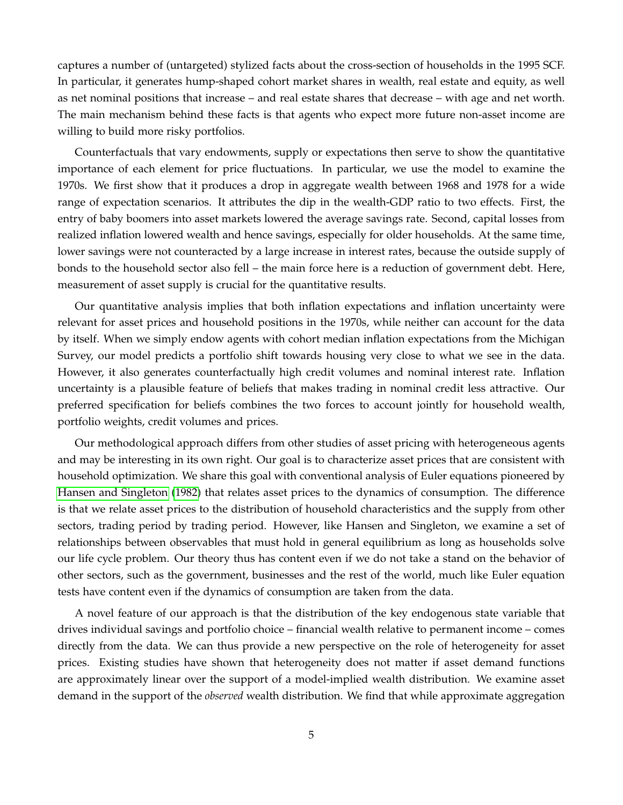captures a number of (untargeted) stylized facts about the cross-section of households in the 1995 SCF. In particular, it generates hump-shaped cohort market shares in wealth, real estate and equity, as well as net nominal positions that increase – and real estate shares that decrease – with age and net worth. The main mechanism behind these facts is that agents who expect more future non-asset income are willing to build more risky portfolios.

Counterfactuals that vary endowments, supply or expectations then serve to show the quantitative importance of each element for price fluctuations. In particular, we use the model to examine the 1970s. We first show that it produces a drop in aggregate wealth between 1968 and 1978 for a wide range of expectation scenarios. It attributes the dip in the wealth-GDP ratio to two effects. First, the entry of baby boomers into asset markets lowered the average savings rate. Second, capital losses from realized inflation lowered wealth and hence savings, especially for older households. At the same time, lower savings were not counteracted by a large increase in interest rates, because the outside supply of bonds to the household sector also fell – the main force here is a reduction of government debt. Here, measurement of asset supply is crucial for the quantitative results.

Our quantitative analysis implies that both inflation expectations and inflation uncertainty were relevant for asset prices and household positions in the 1970s, while neither can account for the data by itself. When we simply endow agents with cohort median inflation expectations from the Michigan Survey, our model predicts a portfolio shift towards housing very close to what we see in the data. However, it also generates counterfactually high credit volumes and nominal interest rate. Inflation uncertainty is a plausible feature of beliefs that makes trading in nominal credit less attractive. Our preferred specification for beliefs combines the two forces to account jointly for household wealth, portfolio weights, credit volumes and prices.

Our methodological approach differs from other studies of asset pricing with heterogeneous agents and may be interesting in its own right. Our goal is to characterize asset prices that are consistent with household optimization. We share this goal with conventional analysis of Euler equations pioneered by [Hansen and Singleton](#page-39-0) [\(1982\)](#page-39-0) that relates asset prices to the dynamics of consumption. The difference is that we relate asset prices to the distribution of household characteristics and the supply from other sectors, trading period by trading period. However, like Hansen and Singleton, we examine a set of relationships between observables that must hold in general equilibrium as long as households solve our life cycle problem. Our theory thus has content even if we do not take a stand on the behavior of other sectors, such as the government, businesses and the rest of the world, much like Euler equation tests have content even if the dynamics of consumption are taken from the data.

A novel feature of our approach is that the distribution of the key endogenous state variable that drives individual savings and portfolio choice – financial wealth relative to permanent income – comes directly from the data. We can thus provide a new perspective on the role of heterogeneity for asset prices. Existing studies have shown that heterogeneity does not matter if asset demand functions are approximately linear over the support of a model-implied wealth distribution. We examine asset demand in the support of the *observed* wealth distribution. We find that while approximate aggregation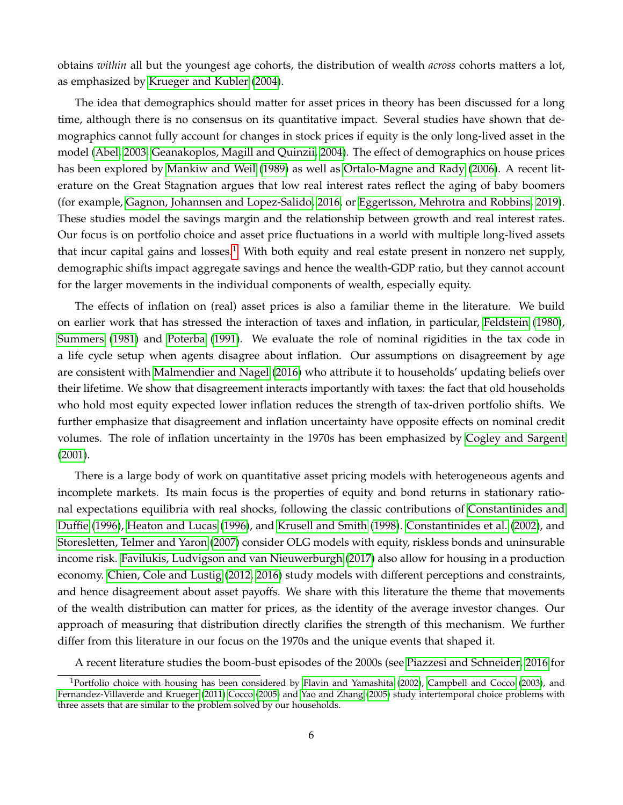obtains *within* all but the youngest age cohorts, the distribution of wealth *across* cohorts matters a lot, as emphasized by [Krueger and Kubler](#page-39-1) [\(2004\)](#page-39-1).

The idea that demographics should matter for asset prices in theory has been discussed for a long time, although there is no consensus on its quantitative impact. Several studies have shown that demographics cannot fully account for changes in stock prices if equity is the only long-lived asset in the model [\(Abel, 2003,](#page-38-0) [Geanakoplos, Magill and Quinzii, 2004\)](#page-38-1). The effect of demographics on house prices has been explored by [Mankiw and Weil](#page-39-2) [\(1989\)](#page-39-2) as well as [Ortalo-Magne and Rady](#page-39-3) [\(2006\)](#page-39-3). A recent literature on the Great Stagnation argues that low real interest rates reflect the aging of baby boomers (for example, [Gagnon, Johannsen and Lopez-Salido, 2016,](#page-38-2) or [Eggertsson, Mehrotra and Robbins, 2019\)](#page-38-3). These studies model the savings margin and the relationship between growth and real interest rates. Our focus is on portfolio choice and asset price fluctuations in a world with multiple long-lived assets that incur capital gains and losses.<sup>[1](#page-6-0)</sup> With both equity and real estate present in nonzero net supply, demographic shifts impact aggregate savings and hence the wealth-GDP ratio, but they cannot account for the larger movements in the individual components of wealth, especially equity.

The effects of inflation on (real) asset prices is also a familiar theme in the literature. We build on earlier work that has stressed the interaction of taxes and inflation, in particular, [Feldstein](#page-38-4) [\(1980\)](#page-38-4), [Summers](#page-39-4) [\(1981\)](#page-39-4) and [Poterba](#page-39-5) [\(1991\)](#page-39-5). We evaluate the role of nominal rigidities in the tax code in a life cycle setup when agents disagree about inflation. Our assumptions on disagreement by age are consistent with [Malmendier and Nagel](#page-39-6) [\(2016\)](#page-39-6) who attribute it to households' updating beliefs over their lifetime. We show that disagreement interacts importantly with taxes: the fact that old households who hold most equity expected lower inflation reduces the strength of tax-driven portfolio shifts. We further emphasize that disagreement and inflation uncertainty have opposite effects on nominal credit volumes. The role of inflation uncertainty in the 1970s has been emphasized by [Cogley and Sargent](#page-38-5) [\(2001\)](#page-38-5).

There is a large body of work on quantitative asset pricing models with heterogeneous agents and incomplete markets. Its main focus is the properties of equity and bond returns in stationary rational expectations equilibria with real shocks, following the classic contributions of [Constantinides and](#page-38-6) [Duffie](#page-38-6) [\(1996\)](#page-38-6), [Heaton and Lucas](#page-39-7) [\(1996\)](#page-39-7), and [Krusell and Smith](#page-39-8) [\(1998\)](#page-39-8). [Constantinides et al.](#page-38-7) [\(2002\)](#page-38-7), and [Storesletten, Telmer and Yaron](#page-39-9) [\(2007\)](#page-39-9) consider OLG models with equity, riskless bonds and uninsurable income risk. [Favilukis, Ludvigson and van Nieuwerburgh](#page-38-8) [\(2017\)](#page-38-8) also allow for housing in a production economy. [Chien, Cole and Lustig](#page-38-9) [\(2012,](#page-38-9) [2016\)](#page-38-10) study models with different perceptions and constraints, and hence disagreement about asset payoffs. We share with this literature the theme that movements of the wealth distribution can matter for prices, as the identity of the average investor changes. Our approach of measuring that distribution directly clarifies the strength of this mechanism. We further differ from this literature in our focus on the 1970s and the unique events that shaped it.

<span id="page-6-0"></span>A recent literature studies the boom-bust episodes of the 2000s (see [Piazzesi and Schneider, 2016](#page-39-10) for

<sup>&</sup>lt;sup>1</sup>Portfolio choice with housing has been considered by [Flavin and Yamashita](#page-38-11) [\(2002\)](#page-38-11), [Campbell and Cocco](#page-38-12) [\(2003\)](#page-38-12), and [Fernandez-Villaverde and Krueger](#page-38-13) [\(2011\)](#page-38-13) [Cocco](#page-38-14) [\(2005\)](#page-38-14) and [Yao and Zhang](#page-40-0) [\(2005\)](#page-40-0) study intertemporal choice problems with three assets that are similar to the problem solved by our households.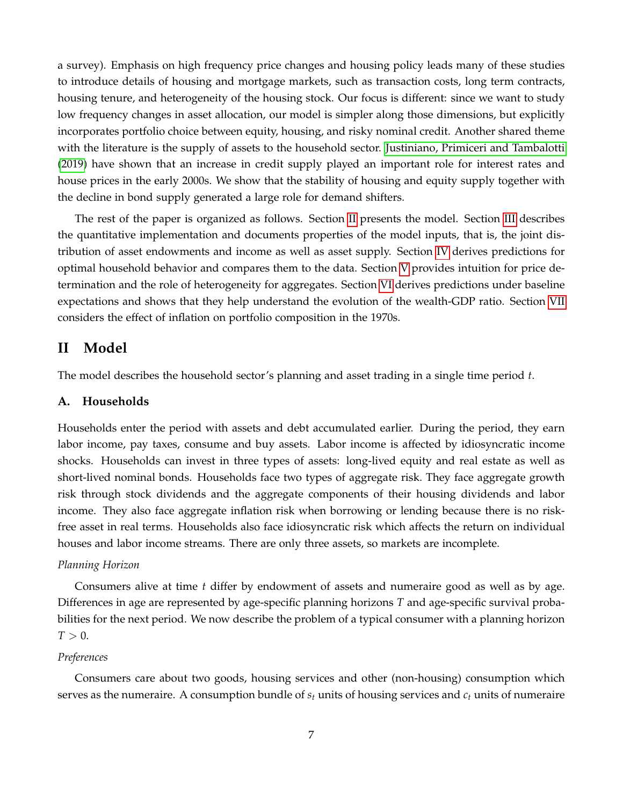a survey). Emphasis on high frequency price changes and housing policy leads many of these studies to introduce details of housing and mortgage markets, such as transaction costs, long term contracts, housing tenure, and heterogeneity of the housing stock. Our focus is different: since we want to study low frequency changes in asset allocation, our model is simpler along those dimensions, but explicitly incorporates portfolio choice between equity, housing, and risky nominal credit. Another shared theme with the literature is the supply of assets to the household sector. [Justiniano, Primiceri and Tambalotti](#page-39-11) [\(2019\)](#page-39-11) have shown that an increase in credit supply played an important role for interest rates and house prices in the early 2000s. We show that the stability of housing and equity supply together with the decline in bond supply generated a large role for demand shifters.

The rest of the paper is organized as follows. Section [II](#page-7-0) presents the model. Section [III](#page-15-0) describes the quantitative implementation and documents properties of the model inputs, that is, the joint distribution of asset endowments and income as well as asset supply. Section [IV](#page-22-0) derives predictions for optimal household behavior and compares them to the data. Section [V](#page-27-0) provides intuition for price determination and the role of heterogeneity for aggregates. Section [VI](#page-31-0) derives predictions under baseline expectations and shows that they help understand the evolution of the wealth-GDP ratio. Section [VII](#page-33-0) considers the effect of inflation on portfolio composition in the 1970s.

# <span id="page-7-0"></span>**II Model**

The model describes the household sector's planning and asset trading in a single time period *t*.

# **A. Households**

Households enter the period with assets and debt accumulated earlier. During the period, they earn labor income, pay taxes, consume and buy assets. Labor income is affected by idiosyncratic income shocks. Households can invest in three types of assets: long-lived equity and real estate as well as short-lived nominal bonds. Households face two types of aggregate risk. They face aggregate growth risk through stock dividends and the aggregate components of their housing dividends and labor income. They also face aggregate inflation risk when borrowing or lending because there is no riskfree asset in real terms. Households also face idiosyncratic risk which affects the return on individual houses and labor income streams. There are only three assets, so markets are incomplete.

# *Planning Horizon*

Consumers alive at time *t* differ by endowment of assets and numeraire good as well as by age. Differences in age are represented by age-specific planning horizons *T* and age-specific survival probabilities for the next period. We now describe the problem of a typical consumer with a planning horizon  $T > 0$ .

#### *Preferences*

Consumers care about two goods, housing services and other (non-housing) consumption which serves as the numeraire. A consumption bundle of *s<sup>t</sup>* units of housing services and *c<sup>t</sup>* units of numeraire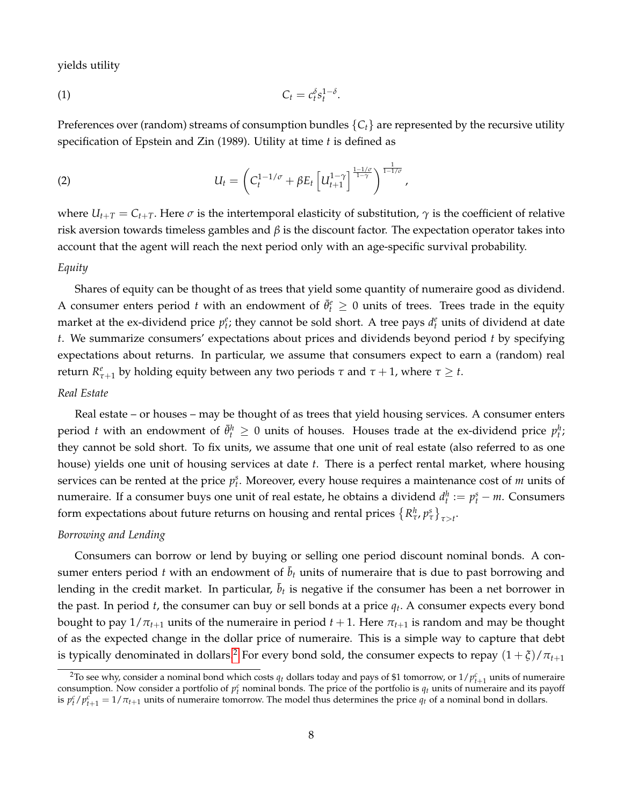yields utility

<span id="page-8-2"></span>
$$
C_t = c_t^{\delta} s_t^{1-\delta}.
$$

Preferences over (random) streams of consumption bundles  ${C<sub>t</sub>}$  are represented by the recursive utility specification of Epstein and Zin (1989). Utility at time *t* is defined as

<span id="page-8-1"></span>(2) 
$$
U_t = \left( C_t^{1-1/\sigma} + \beta E_t \left[ U_{t+1}^{1-\gamma} \right]^\frac{1-1/\sigma}{1-\gamma} \right)^{\frac{1}{1-1/\sigma}},
$$

where  $U_{t+T} = C_{t+T}$ . Here  $\sigma$  is the intertemporal elasticity of substitution,  $\gamma$  is the coefficient of relative risk aversion towards timeless gambles and *β* is the discount factor. The expectation operator takes into account that the agent will reach the next period only with an age-specific survival probability.

# *Equity*

Shares of equity can be thought of as trees that yield some quantity of numeraire good as dividend. A consumer enters period *t* with an endowment of  $\bar{\theta}^e_t \geq 0$  units of trees. Trees trade in the equity market at the ex-dividend price  $p_t^e$ ; they cannot be sold short. A tree pays  $d_t^e$  units of dividend at date *t*. We summarize consumers' expectations about prices and dividends beyond period *t* by specifying expectations about returns. In particular, we assume that consumers expect to earn a (random) real *return*  $R_{\tau+1}^e$  by holding equity between any two periods  $\tau$  and  $\tau+1$ , where  $\tau \geq t$ .

# *Real Estate*

Real estate – or houses – may be thought of as trees that yield housing services. A consumer enters period *t* with an endowment of  $\bar{\theta}^h_t \geq 0$  units of houses. Houses trade at the ex-dividend price  $p^h_t$ ; they cannot be sold short. To fix units, we assume that one unit of real estate (also referred to as one house) yields one unit of housing services at date *t*. There is a perfect rental market, where housing services can be rented at the price  $p_t^s$ . Moreover, every house requires a maintenance cost of *m* units of numeraire. If a consumer buys one unit of real estate, he obtains a dividend  $d_t^h := p_t^s - m$ . Consumers form expectations about future returns on housing and rental prices  $\left\{R^h_{\tau}, p^s_{\tau}\right\}_{\tau>t}$ .

## *Borrowing and Lending*

Consumers can borrow or lend by buying or selling one period discount nominal bonds. A consumer enters period *t* with an endowment of  $\bar{b}_t$  units of numeraire that is due to past borrowing and lending in the credit market. In particular,  $\bar{b}_t$  is negative if the consumer has been a net borrower in the past. In period *t*, the consumer can buy or sell bonds at a price *q<sup>t</sup>* . A consumer expects every bond bought to pay  $1/\pi_{t+1}$  units of the numeraire in period  $t+1$ . Here  $\pi_{t+1}$  is random and may be thought of as the expected change in the dollar price of numeraire. This is a simple way to capture that debt is typically denominated in dollars.<sup>[2](#page-8-0)</sup> For every bond sold, the consumer expects to repay  $(1 + \xi)/\pi_{t+1}$ 

<span id="page-8-0"></span> $^2$ To see why, consider a nominal bond which costs  $q_t$  dollars today and pays of \$1 tomorrow, or 1/ $p_{t+1}^c$  units of numeraire to see wity, consider a nominal bond which costs  $q_t$  uonas loday and pays of \$1 tomorrow, or 17  $p_{t+1}$  units of numeraire and its payoff consumption. Now consider a portfolio of  $p_t^c$  nominal bonds. The price of the p is  $p_t^c / p_{t+1}^c = 1 / \pi_{t+1}$  units of numeraire tomorrow. The model thus determines the price  $q_t$  of a nominal bond in dollars.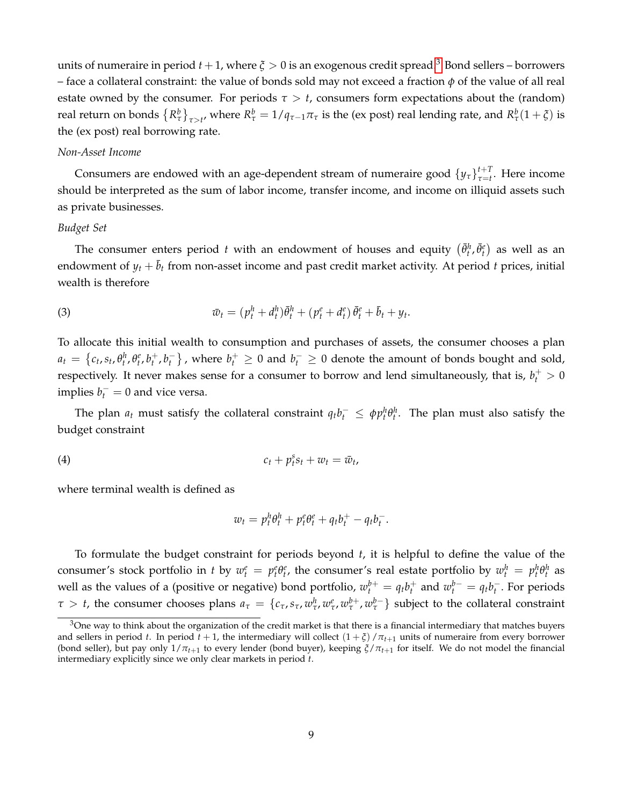units of numeraire in period  $t + 1$ , where  $\zeta > 0$  is an exogenous credit spread.<sup>[3](#page-9-0)</sup> Bond sellers – borrowers – face a collateral constraint: the value of bonds sold may not exceed a fraction *φ* of the value of all real estate owned by the consumer. For periods  $\tau > t$ , consumers form expectations about the (random) real return on bonds  ${R^b_\tau\brace}_{\tau>t'}$  where  $R^b_\tau=1/q_{\tau-1}\pi_\tau$  is the (ex post) real lending rate, and  $R^b_\tau(1+\xi)$  is the (ex post) real borrowing rate.

#### *Non-Asset Income*

Consumers are endowed with an age-dependent stream of numeraire good  $\left\{ y_{\tau} \right\}_{\tau=t}^{t+T}$ *τ*=*t* . Here income should be interpreted as the sum of labor income, transfer income, and income on illiquid assets such as private businesses.

#### *Budget Set*

The consumer enters period *t* with an endowment of houses and equity  $(\bar{\theta}_t^h, \bar{\theta}_t^e)$  as well as an endowment of  $y_t + \bar{b}_t$  from non-asset income and past credit market activity. At period *t* prices, initial wealth is therefore

<span id="page-9-1"></span>(3) 
$$
\bar{w}_t = (p_t^h + d_t^h)\bar{\theta}_t^h + (p_t^e + d_t^e)\bar{\theta}_t^e + \bar{b}_t + y_t.
$$

To allocate this initial wealth to consumption and purchases of assets, the consumer chooses a plan  $a_t = \left\{c_t, s_t, \theta_t^h, \theta_t^e, b_t^+, b_t^-\right\}$  , where  $b_t^+ \geq 0$  and  $b_t^- \geq 0$  denote the amount of bonds bought and sold, respectively. It never makes sense for a consumer to borrow and lend simultaneously, that is,  $b_t^+ > 0$ implies  $b_t^- = 0$  and vice versa.

The plan  $a_t$  must satisfy the collateral constraint  $q_t b_t^- \leq \phi p_t^h \theta_t^h$ . The plan must also satisfy the budget constraint

$$
c_t + p_t^s s_t + w_t = \bar{w}_t,
$$

where terminal wealth is defined as

<span id="page-9-2"></span>
$$
w_t = p_t^h \theta_t^h + p_t^e \theta_t^e + q_t b_t^+ - q_t b_t^-.
$$

To formulate the budget constraint for periods beyond *t*, it is helpful to define the value of the consumer's stock portfolio in t by  $w_t^e = p_t^e \theta_t^e$ , the consumer's real estate portfolio by  $w_t^h = p_t^h \theta_t^h$  as well as the values of a (positive or negative) bond portfolio,  $w_t^{b+} = q_t b_t^+$  and  $w_t^{b-} = q_t b_t^-$ . For periods  $\tau > t$ , the consumer chooses plans  $a_\tau = \{c_\tau, s_\tau, w^h_\tau, w^e_\tau, w^{b+}_\tau, w^{b-}_\tau\}$  subject to the collateral constraint

<span id="page-9-0"></span> $3$ One way to think about the organization of the credit market is that there is a financial intermediary that matches buyers and sellers in period *t*. In period  $t + 1$ , the intermediary will collect  $(1 + \xi)/\pi_{t+1}$  units of numeraire from every borrower (bond seller), but pay only  $1/\pi_{t+1}$  to every lender (bond buyer), keeping  $\xi/\pi_{t+1}$  for itself. We do not model the financial intermediary explicitly since we only clear markets in period *t*.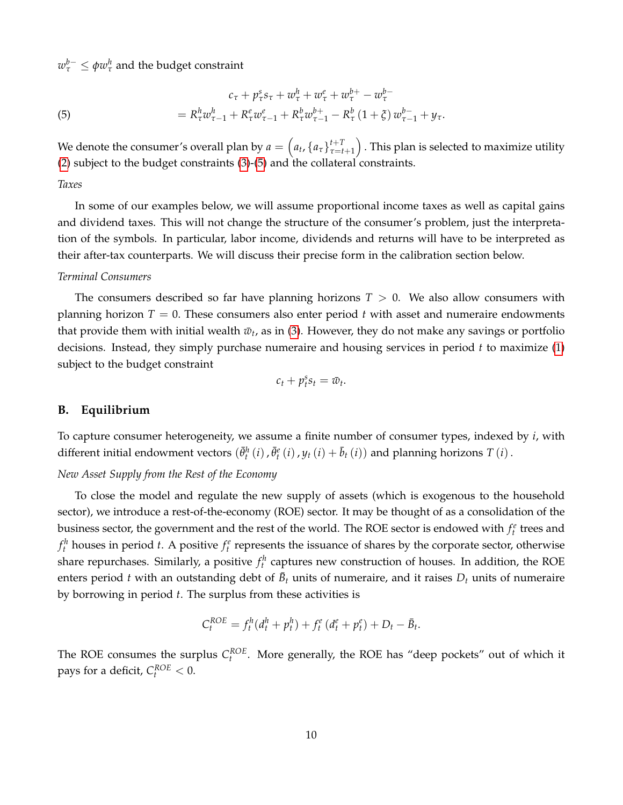$w_{\tau}^{b-} \leq \phi w_{\tau}^{h}$  and the budget constraint

<span id="page-10-0"></span>(5) 
$$
c_{\tau} + p_{\tau}^{s} s_{\tau} + w_{\tau}^{h} + w_{\tau}^{e} + w_{\tau}^{b+} - w_{\tau}^{b-} = R_{\tau}^{h} w_{\tau-1}^{h} + R_{\tau}^{e} w_{\tau-1}^{e} + R_{\tau}^{h} w_{\tau-1}^{b+} - R_{\tau}^{h} (1 + \xi) w_{\tau-1}^{b-} + y_{\tau}.
$$

We denote the consumer's overall plan by  $a = \left( a_t, \left\{ a_{\tau} \right\}_{\tau = t}^{t+T} \right)$ *τ*=*t*+1 . This plan is selected to maximize utility [\(2\)](#page-8-1) subject to the budget constraints [\(3\)](#page-9-1)-[\(5\)](#page-10-0) and the collateral constraints.

*Taxes*

In some of our examples below, we will assume proportional income taxes as well as capital gains and dividend taxes. This will not change the structure of the consumer's problem, just the interpretation of the symbols. In particular, labor income, dividends and returns will have to be interpreted as their after-tax counterparts. We will discuss their precise form in the calibration section below.

#### *Terminal Consumers*

The consumers described so far have planning horizons  $T > 0$ . We also allow consumers with planning horizon  $T = 0$ . These consumers also enter period t with asset and numeraire endowments that provide them with initial wealth  $\bar{w}_t$ , as in [\(3\)](#page-9-1). However, they do not make any savings or portfolio decisions. Instead, they simply purchase numeraire and housing services in period *t* to maximize [\(1\)](#page-8-2) subject to the budget constraint

$$
c_t + p_t^s s_t = \bar{w}_t.
$$

## **B. Equilibrium**

To capture consumer heterogeneity, we assume a finite number of consumer types, indexed by *i*, with different initial endowment vectors  $(\bar{\theta}_t^h(i), \bar{\theta}_t^e(i), y_t(i) + \bar{b}_t(i))$  and planning horizons *T* (*i*).

*New Asset Supply from the Rest of the Economy*

To close the model and regulate the new supply of assets (which is exogenous to the household sector), we introduce a rest-of-the-economy (ROE) sector. It may be thought of as a consolidation of the business sector, the government and the rest of the world. The ROE sector is endowed with  $f_t^e$  trees and  $f_t^h$  houses in period *t*. A positive  $f_t^e$  represents the issuance of shares by the corporate sector, otherwise share repurchases. Similarly, a positive  $f_t^h$  captures new construction of houses. In addition, the ROE enters period *t* with an outstanding debt of  $\bar{B}_t$  units of numeraire, and it raises  $D_t$  units of numeraire by borrowing in period *t*. The surplus from these activities is

$$
C_t^{ROE} = f_t^h(d_t^h + p_t^h) + f_t^e(d_t^e + p_t^e) + D_t - \bar{B}_t.
$$

The ROE consumes the surplus  $C_t^{ROE}$ . More generally, the ROE has "deep pockets" out of which it pays for a deficit,  $C_t^{ROE} < 0$ .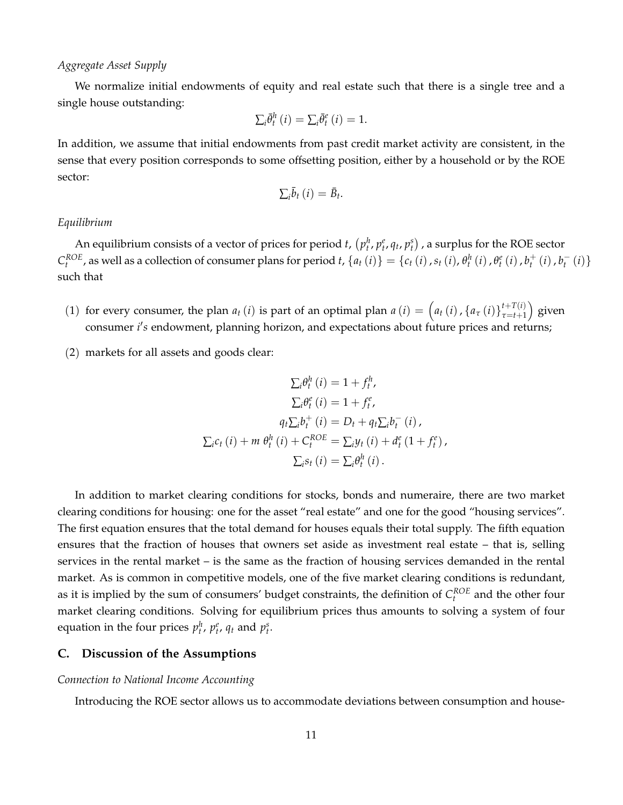#### *Aggregate Asset Supply*

We normalize initial endowments of equity and real estate such that there is a single tree and a single house outstanding:

$$
\sum_{i} \bar{\theta}^{h}_{t}(i) = \sum_{i} \bar{\theta}^{e}_{t}(i) = 1.
$$

In addition, we assume that initial endowments from past credit market activity are consistent, in the sense that every position corresponds to some offsetting position, either by a household or by the ROE sector:

$$
\sum_{i} \bar{b}_{t} (i) = \bar{B}_{t}.
$$

# *Equilibrium*

An equilibrium consists of a vector of prices for period *t*,  $(p_t^h, p_t^e, q_t, p_t^s)$  , a surplus for the ROE sector  $C_t^{ROE}$ , as well as a collection of consumer plans for period t,  $\{a_t(i)\} = \{c_t(i), s_t(i), \theta_t^h(i), \theta_t^e(i), b_t^+(i), b_t^-(i)\}$ such that

- (1) for every consumer, the plan  $a_t(i)$  is part of an optimal plan  $a(i) = \left(a_t(i), \{a_\tau(i)\}_{\tau=t+1}^{t+T(i)}\right)$ *τ*=*t*+1 ) given consumer *i's* endowment, planning horizon, and expectations about future prices and returns;
- (2) markets for all assets and goods clear:

$$
\sum_{i} \theta_{t}^{h} (i) = 1 + f_{t}^{h},
$$
  
\n
$$
\sum_{i} \theta_{t}^{e} (i) = 1 + f_{t}^{e},
$$
  
\n
$$
q_{t} \sum_{i} b_{t}^{+} (i) = D_{t} + q_{t} \sum_{i} b_{t}^{-} (i),
$$
  
\n
$$
\sum_{i} c_{t} (i) + m \theta_{t}^{h} (i) + C_{t}^{ROE} = \sum_{i} y_{t} (i) + d_{t}^{e} (1 + f_{t}^{e}),
$$
  
\n
$$
\sum_{i} s_{t} (i) = \sum_{i} \theta_{t}^{h} (i).
$$

In addition to market clearing conditions for stocks, bonds and numeraire, there are two market clearing conditions for housing: one for the asset "real estate" and one for the good "housing services". The first equation ensures that the total demand for houses equals their total supply. The fifth equation ensures that the fraction of houses that owners set aside as investment real estate – that is, selling services in the rental market – is the same as the fraction of housing services demanded in the rental market. As is common in competitive models, one of the five market clearing conditions is redundant, as it is implied by the sum of consumers' budget constraints, the definition of  $C_t^{ROE}$  and the other four market clearing conditions. Solving for equilibrium prices thus amounts to solving a system of four equation in the four prices  $p_t^h$ ,  $p_t^e$ ,  $q_t$  and  $p_t^s$ .

# **C. Discussion of the Assumptions**

#### *Connection to National Income Accounting*

Introducing the ROE sector allows us to accommodate deviations between consumption and house-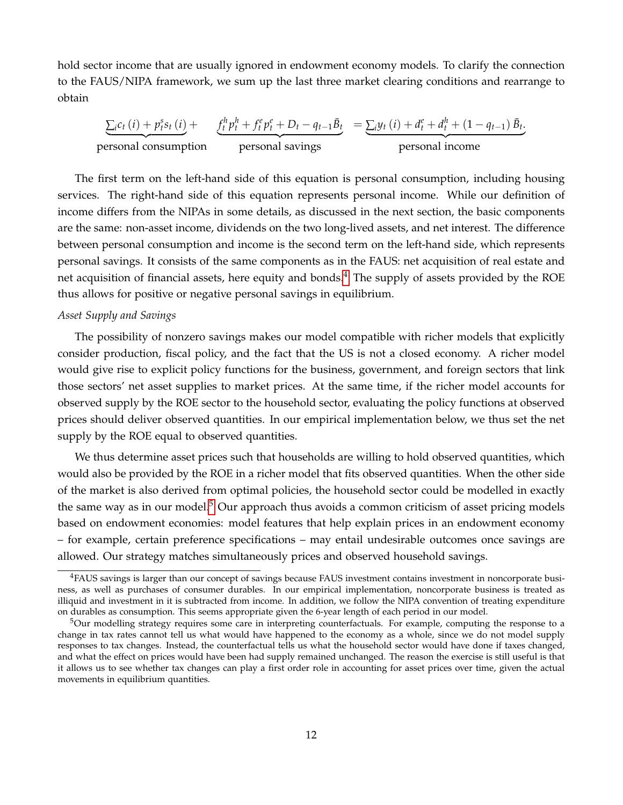hold sector income that are usually ignored in endowment economy models. To clarify the connection to the FAUS/NIPA framework, we sum up the last three market clearing conditions and rearrange to obtain

$$
\underbrace{\sum_{i} c_{t} (i) + p_{t}^{s} s_{t} (i)}_{\text{personal consumption}} + \underbrace{f_{t}^{h} p_{t}^{h} + f_{t}^{e} p_{t}^{e} + D_{t} - q_{t-1} \bar{B}_{t}}_{\text{personal savings}} = \underbrace{\sum_{i} y_{t} (i) + d_{t}^{e} + d_{t}^{h} + (1 - q_{t-1}) \bar{B}_{t}}_{\text{personal income}}
$$

The first term on the left-hand side of this equation is personal consumption, including housing services. The right-hand side of this equation represents personal income. While our definition of income differs from the NIPAs in some details, as discussed in the next section, the basic components are the same: non-asset income, dividends on the two long-lived assets, and net interest. The difference between personal consumption and income is the second term on the left-hand side, which represents personal savings. It consists of the same components as in the FAUS: net acquisition of real estate and net acquisition of financial assets, here equity and bonds.<sup>[4](#page-12-0)</sup> The supply of assets provided by the ROE thus allows for positive or negative personal savings in equilibrium.

## *Asset Supply and Savings*

The possibility of nonzero savings makes our model compatible with richer models that explicitly consider production, fiscal policy, and the fact that the US is not a closed economy. A richer model would give rise to explicit policy functions for the business, government, and foreign sectors that link those sectors' net asset supplies to market prices. At the same time, if the richer model accounts for observed supply by the ROE sector to the household sector, evaluating the policy functions at observed prices should deliver observed quantities. In our empirical implementation below, we thus set the net supply by the ROE equal to observed quantities.

We thus determine asset prices such that households are willing to hold observed quantities, which would also be provided by the ROE in a richer model that fits observed quantities. When the other side of the market is also derived from optimal policies, the household sector could be modelled in exactly the same way as in our model.<sup>[5](#page-12-1)</sup> Our approach thus avoids a common criticism of asset pricing models based on endowment economies: model features that help explain prices in an endowment economy – for example, certain preference specifications – may entail undesirable outcomes once savings are allowed. Our strategy matches simultaneously prices and observed household savings.

<span id="page-12-0"></span><sup>4</sup>FAUS savings is larger than our concept of savings because FAUS investment contains investment in noncorporate business, as well as purchases of consumer durables. In our empirical implementation, noncorporate business is treated as illiquid and investment in it is subtracted from income. In addition, we follow the NIPA convention of treating expenditure on durables as consumption. This seems appropriate given the 6-year length of each period in our model.

<span id="page-12-1"></span><sup>&</sup>lt;sup>5</sup>Our modelling strategy requires some care in interpreting counterfactuals. For example, computing the response to a change in tax rates cannot tell us what would have happened to the economy as a whole, since we do not model supply responses to tax changes. Instead, the counterfactual tells us what the household sector would have done if taxes changed, and what the effect on prices would have been had supply remained unchanged. The reason the exercise is still useful is that it allows us to see whether tax changes can play a first order role in accounting for asset prices over time, given the actual movements in equilibrium quantities.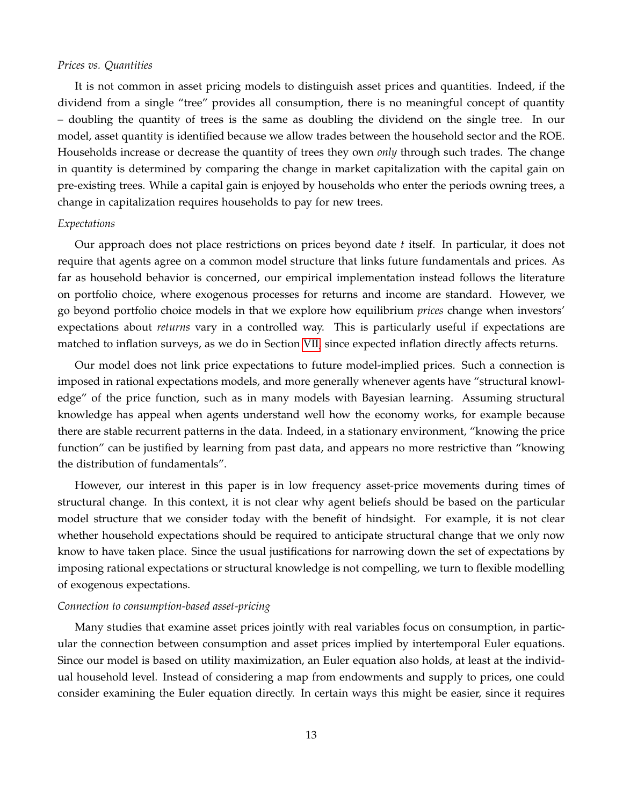## *Prices vs. Quantities*

It is not common in asset pricing models to distinguish asset prices and quantities. Indeed, if the dividend from a single "tree" provides all consumption, there is no meaningful concept of quantity – doubling the quantity of trees is the same as doubling the dividend on the single tree. In our model, asset quantity is identified because we allow trades between the household sector and the ROE. Households increase or decrease the quantity of trees they own *only* through such trades. The change in quantity is determined by comparing the change in market capitalization with the capital gain on pre-existing trees. While a capital gain is enjoyed by households who enter the periods owning trees, a change in capitalization requires households to pay for new trees.

# *Expectations*

Our approach does not place restrictions on prices beyond date *t* itself. In particular, it does not require that agents agree on a common model structure that links future fundamentals and prices. As far as household behavior is concerned, our empirical implementation instead follows the literature on portfolio choice, where exogenous processes for returns and income are standard. However, we go beyond portfolio choice models in that we explore how equilibrium *prices* change when investors' expectations about *returns* vary in a controlled way. This is particularly useful if expectations are matched to inflation surveys, as we do in Section [VII,](#page-33-0) since expected inflation directly affects returns.

Our model does not link price expectations to future model-implied prices. Such a connection is imposed in rational expectations models, and more generally whenever agents have "structural knowledge" of the price function, such as in many models with Bayesian learning. Assuming structural knowledge has appeal when agents understand well how the economy works, for example because there are stable recurrent patterns in the data. Indeed, in a stationary environment, "knowing the price function" can be justified by learning from past data, and appears no more restrictive than "knowing the distribution of fundamentals".

However, our interest in this paper is in low frequency asset-price movements during times of structural change. In this context, it is not clear why agent beliefs should be based on the particular model structure that we consider today with the benefit of hindsight. For example, it is not clear whether household expectations should be required to anticipate structural change that we only now know to have taken place. Since the usual justifications for narrowing down the set of expectations by imposing rational expectations or structural knowledge is not compelling, we turn to flexible modelling of exogenous expectations.

## *Connection to consumption-based asset-pricing*

Many studies that examine asset prices jointly with real variables focus on consumption, in particular the connection between consumption and asset prices implied by intertemporal Euler equations. Since our model is based on utility maximization, an Euler equation also holds, at least at the individual household level. Instead of considering a map from endowments and supply to prices, one could consider examining the Euler equation directly. In certain ways this might be easier, since it requires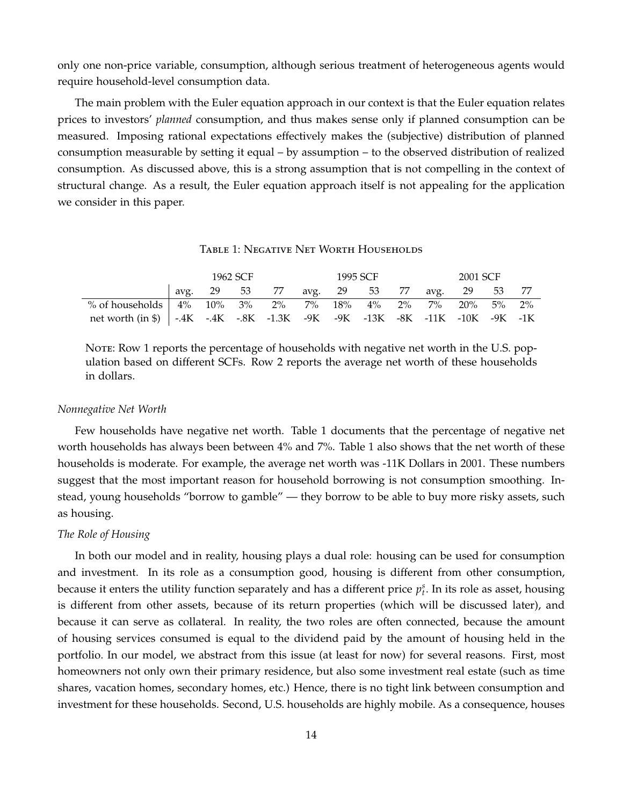only one non-price variable, consumption, although serious treatment of heterogeneous agents would require household-level consumption data.

The main problem with the Euler equation approach in our context is that the Euler equation relates prices to investors' *planned* consumption, and thus makes sense only if planned consumption can be measured. Imposing rational expectations effectively makes the (subjective) distribution of planned consumption measurable by setting it equal – by assumption – to the observed distribution of realized consumption. As discussed above, this is a strong assumption that is not compelling in the context of structural change. As a result, the Euler equation approach itself is not appealing for the application we consider in this paper.

#### Table 1: Negative Net Worth Households

|                                                                             | 1962 SCF |  |  |                                           | 1995 SCF |  |  |  | 2001 SCF |  |  |  |
|-----------------------------------------------------------------------------|----------|--|--|-------------------------------------------|----------|--|--|--|----------|--|--|--|
|                                                                             |          |  |  | avg. 29 53 77 avg. 29 53 77 avg. 29 53 77 |          |  |  |  |          |  |  |  |
| % of households   4% 10% 3% 2% 7% 18% 4% 2% 7% 20% 5% 2%                    |          |  |  |                                           |          |  |  |  |          |  |  |  |
| net worth (in \$)   -.4K -.4K -.8K -1.3K -9K -9K -13K -8K -11K -10K -9K -1K |          |  |  |                                           |          |  |  |  |          |  |  |  |

Note: Row 1 reports the percentage of households with negative net worth in the U.S. population based on different SCFs. Row 2 reports the average net worth of these households in dollars.

#### *Nonnegative Net Worth*

Few households have negative net worth. Table 1 documents that the percentage of negative net worth households has always been between 4% and 7%. Table 1 also shows that the net worth of these households is moderate. For example, the average net worth was -11K Dollars in 2001. These numbers suggest that the most important reason for household borrowing is not consumption smoothing. Instead, young households "borrow to gamble" — they borrow to be able to buy more risky assets, such as housing.

#### *The Role of Housing*

In both our model and in reality, housing plays a dual role: housing can be used for consumption and investment. In its role as a consumption good, housing is different from other consumption, because it enters the utility function separately and has a different price  $p_t^s$ . In its role as asset, housing is different from other assets, because of its return properties (which will be discussed later), and because it can serve as collateral. In reality, the two roles are often connected, because the amount of housing services consumed is equal to the dividend paid by the amount of housing held in the portfolio. In our model, we abstract from this issue (at least for now) for several reasons. First, most homeowners not only own their primary residence, but also some investment real estate (such as time shares, vacation homes, secondary homes, etc.) Hence, there is no tight link between consumption and investment for these households. Second, U.S. households are highly mobile. As a consequence, houses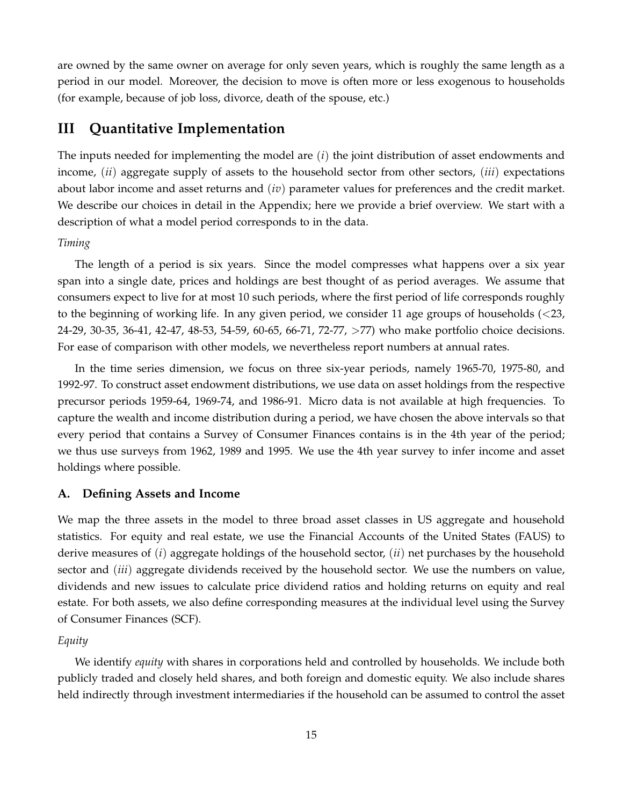are owned by the same owner on average for only seven years, which is roughly the same length as a period in our model. Moreover, the decision to move is often more or less exogenous to households (for example, because of job loss, divorce, death of the spouse, etc.)

# <span id="page-15-0"></span>**III Quantitative Implementation**

The inputs needed for implementing the model are (*i*) the joint distribution of asset endowments and income, (*ii*) aggregate supply of assets to the household sector from other sectors, (*iii*) expectations about labor income and asset returns and (*iv*) parameter values for preferences and the credit market. We describe our choices in detail in the Appendix; here we provide a brief overview. We start with a description of what a model period corresponds to in the data.

#### *Timing*

The length of a period is six years. Since the model compresses what happens over a six year span into a single date, prices and holdings are best thought of as period averages. We assume that consumers expect to live for at most 10 such periods, where the first period of life corresponds roughly to the beginning of working life. In any given period, we consider 11 age groups of households (<23, 24-29, 30-35, 36-41, 42-47, 48-53, 54-59, 60-65, 66-71, 72-77, >77) who make portfolio choice decisions. For ease of comparison with other models, we nevertheless report numbers at annual rates.

In the time series dimension, we focus on three six-year periods, namely 1965-70, 1975-80, and 1992-97. To construct asset endowment distributions, we use data on asset holdings from the respective precursor periods 1959-64, 1969-74, and 1986-91. Micro data is not available at high frequencies. To capture the wealth and income distribution during a period, we have chosen the above intervals so that every period that contains a Survey of Consumer Finances contains is in the 4th year of the period; we thus use surveys from 1962, 1989 and 1995. We use the 4th year survey to infer income and asset holdings where possible.

## **A. Defining Assets and Income**

We map the three assets in the model to three broad asset classes in US aggregate and household statistics. For equity and real estate, we use the Financial Accounts of the United States (FAUS) to derive measures of (*i*) aggregate holdings of the household sector, (*ii*) net purchases by the household sector and (*iii*) aggregate dividends received by the household sector. We use the numbers on value, dividends and new issues to calculate price dividend ratios and holding returns on equity and real estate. For both assets, we also define corresponding measures at the individual level using the Survey of Consumer Finances (SCF).

#### *Equity*

We identify *equity* with shares in corporations held and controlled by households. We include both publicly traded and closely held shares, and both foreign and domestic equity. We also include shares held indirectly through investment intermediaries if the household can be assumed to control the asset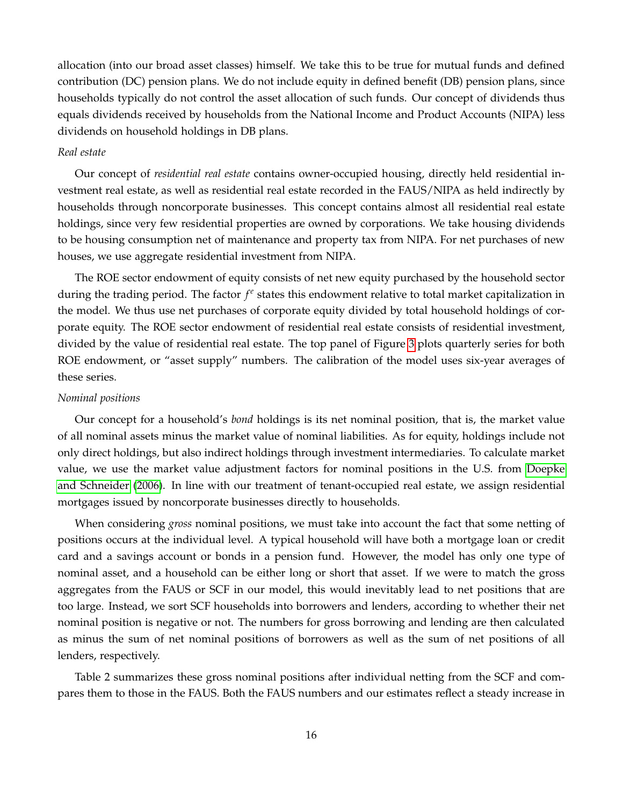allocation (into our broad asset classes) himself. We take this to be true for mutual funds and defined contribution (DC) pension plans. We do not include equity in defined benefit (DB) pension plans, since households typically do not control the asset allocation of such funds. Our concept of dividends thus equals dividends received by households from the National Income and Product Accounts (NIPA) less dividends on household holdings in DB plans.

#### *Real estate*

Our concept of *residential real estate* contains owner-occupied housing, directly held residential investment real estate, as well as residential real estate recorded in the FAUS/NIPA as held indirectly by households through noncorporate businesses. This concept contains almost all residential real estate holdings, since very few residential properties are owned by corporations. We take housing dividends to be housing consumption net of maintenance and property tax from NIPA. For net purchases of new houses, we use aggregate residential investment from NIPA.

The ROE sector endowment of equity consists of net new equity purchased by the household sector during the trading period. The factor  $f^e$  states this endowment relative to total market capitalization in the model. We thus use net purchases of corporate equity divided by total household holdings of corporate equity. The ROE sector endowment of residential real estate consists of residential investment, divided by the value of residential real estate. The top panel of Figure [3](#page-17-0) plots quarterly series for both ROE endowment, or "asset supply" numbers. The calibration of the model uses six-year averages of these series.

#### *Nominal positions*

Our concept for a household's *bond* holdings is its net nominal position, that is, the market value of all nominal assets minus the market value of nominal liabilities. As for equity, holdings include not only direct holdings, but also indirect holdings through investment intermediaries. To calculate market value, we use the market value adjustment factors for nominal positions in the U.S. from [Doepke](#page-38-15) [and Schneider](#page-38-15) [\(2006\)](#page-38-15). In line with our treatment of tenant-occupied real estate, we assign residential mortgages issued by noncorporate businesses directly to households.

When considering *gross* nominal positions, we must take into account the fact that some netting of positions occurs at the individual level. A typical household will have both a mortgage loan or credit card and a savings account or bonds in a pension fund. However, the model has only one type of nominal asset, and a household can be either long or short that asset. If we were to match the gross aggregates from the FAUS or SCF in our model, this would inevitably lead to net positions that are too large. Instead, we sort SCF households into borrowers and lenders, according to whether their net nominal position is negative or not. The numbers for gross borrowing and lending are then calculated as minus the sum of net nominal positions of borrowers as well as the sum of net positions of all lenders, respectively.

Table 2 summarizes these gross nominal positions after individual netting from the SCF and compares them to those in the FAUS. Both the FAUS numbers and our estimates reflect a steady increase in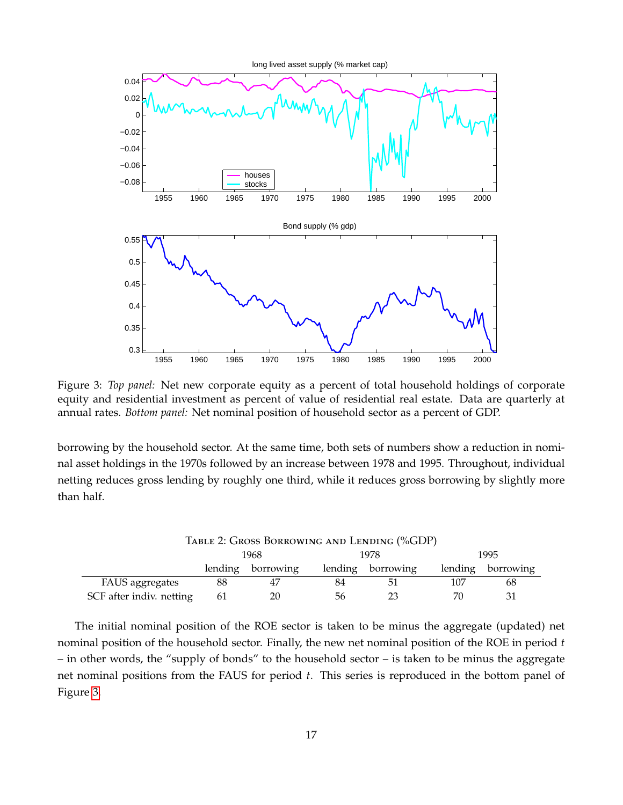

<span id="page-17-0"></span>Figure 3: *Top panel:* Net new corporate equity as a percent of total household holdings of corporate equity and residential investment as percent of value of residential real estate. Data are quarterly at annual rates. *Bottom panel:* Net nominal position of household sector as a percent of GDP.

borrowing by the household sector. At the same time, both sets of numbers show a reduction in nominal asset holdings in the 1970s followed by an increase between 1978 and 1995. Throughout, individual netting reduces gross lending by roughly one third, while it reduces gross borrowing by slightly more than half.

| TABLE 2: GROSS BORROWING AND LENDING (%GDP) |                      |           |         |           |         |           |  |  |
|---------------------------------------------|----------------------|-----------|---------|-----------|---------|-----------|--|--|
|                                             | 1995<br>1978<br>1968 |           |         |           |         |           |  |  |
|                                             | lending              | borrowing | lending | borrowing | lending | borrowing |  |  |
| FAUS aggregates                             | 88                   |           | 84      | 51        | 107     | 68        |  |  |
| SCF after indiv. netting                    | 61                   | 20        | 56      | 23        | 70      | 31        |  |  |

The initial nominal position of the ROE sector is taken to be minus the aggregate (updated) net nominal position of the household sector. Finally, the new net nominal position of the ROE in period *t* – in other words, the "supply of bonds" to the household sector – is taken to be minus the aggregate net nominal positions from the FAUS for period *t*. This series is reproduced in the bottom panel of Figure [3.](#page-17-0)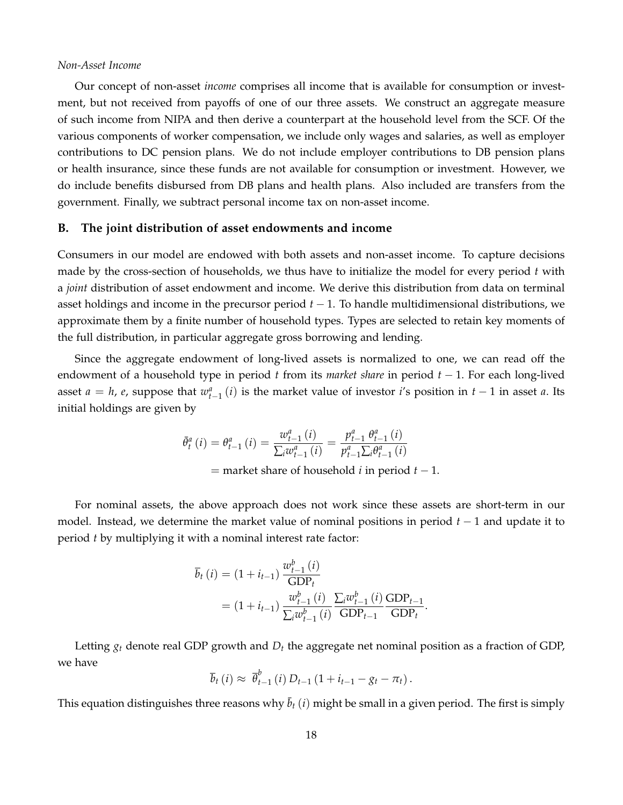#### *Non-Asset Income*

Our concept of non-asset *income* comprises all income that is available for consumption or investment, but not received from payoffs of one of our three assets. We construct an aggregate measure of such income from NIPA and then derive a counterpart at the household level from the SCF. Of the various components of worker compensation, we include only wages and salaries, as well as employer contributions to DC pension plans. We do not include employer contributions to DB pension plans or health insurance, since these funds are not available for consumption or investment. However, we do include benefits disbursed from DB plans and health plans. Also included are transfers from the government. Finally, we subtract personal income tax on non-asset income.

# **B. The joint distribution of asset endowments and income**

Consumers in our model are endowed with both assets and non-asset income. To capture decisions made by the cross-section of households, we thus have to initialize the model for every period *t* with a *joint* distribution of asset endowment and income. We derive this distribution from data on terminal asset holdings and income in the precursor period *t* − 1. To handle multidimensional distributions, we approximate them by a finite number of household types. Types are selected to retain key moments of the full distribution, in particular aggregate gross borrowing and lending.

Since the aggregate endowment of long-lived assets is normalized to one, we can read off the endowment of a household type in period *t* from its *market share* in period *t* − 1. For each long-lived asset  $a = h$ ,  $e$ , suppose that  $w_{t-1}^a(i)$  is the market value of investor *i*'s position in  $t-1$  in asset  $a$ . Its initial holdings are given by

$$
\bar{\theta}_{t}^{a}(i) = \theta_{t-1}^{a}(i) = \frac{w_{t-1}^{a}(i)}{\sum_{i} w_{t-1}^{a}(i)} = \frac{p_{t-1}^{a} \theta_{t-1}^{a}(i)}{p_{t-1}^{a} \sum_{i} \theta_{t-1}^{a}(i)}
$$
\n= market share of household *i* in period *t* – 1.

For nominal assets, the above approach does not work since these assets are short-term in our model. Instead, we determine the market value of nominal positions in period *t* − 1 and update it to period *t* by multiplying it with a nominal interest rate factor:

$$
\overline{b}_{t}(i) = (1 + i_{t-1}) \frac{w_{t-1}^{b}(i)}{\text{GDP}_{t}} \n= (1 + i_{t-1}) \frac{w_{t-1}^{b}(i)}{\sum_{i} w_{t-1}^{b}(i)} \frac{\sum_{i} w_{t-1}^{b}(i)}{\text{GDP}_{t-1}} \frac{\text{GDP}_{t-1}}{\text{GDP}_{t}}.
$$

Letting *g<sup>t</sup>* denote real GDP growth and *D<sup>t</sup>* the aggregate net nominal position as a fraction of GDP, we have

$$
\overline{b}_t(i) \approx \overline{\theta}_{t-1}^b(i) D_{t-1} (1 + i_{t-1} - g_t - \pi_t).
$$

This equation distinguishes three reasons why  $\bar{b}_t$  (*i*) might be small in a given period. The first is simply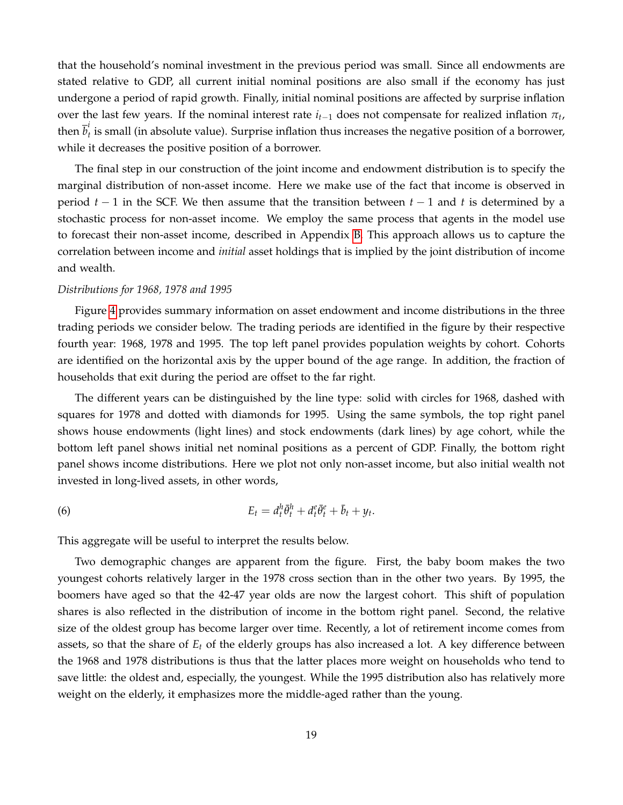that the household's nominal investment in the previous period was small. Since all endowments are stated relative to GDP, all current initial nominal positions are also small if the economy has just undergone a period of rapid growth. Finally, initial nominal positions are affected by surprise inflation over the last few years. If the nominal interest rate  $i_{t-1}$  does not compensate for realized inflation  $\pi_t$ , then  $\overline{b}^i_t$ *t* is small (in absolute value). Surprise inflation thus increases the negative position of a borrower, while it decreases the positive position of a borrower.

The final step in our construction of the joint income and endowment distribution is to specify the marginal distribution of non-asset income. Here we make use of the fact that income is observed in period *t* − 1 in the SCF. We then assume that the transition between *t* − 1 and *t* is determined by a stochastic process for non-asset income. We employ the same process that agents in the model use to forecast their non-asset income, described in Appendix [B.](#page-7-0) This approach allows us to capture the correlation between income and *initial* asset holdings that is implied by the joint distribution of income and wealth.

#### *Distributions for 1968, 1978 and 1995*

Figure [4](#page-20-0) provides summary information on asset endowment and income distributions in the three trading periods we consider below. The trading periods are identified in the figure by their respective fourth year: 1968, 1978 and 1995. The top left panel provides population weights by cohort. Cohorts are identified on the horizontal axis by the upper bound of the age range. In addition, the fraction of households that exit during the period are offset to the far right.

The different years can be distinguished by the line type: solid with circles for 1968, dashed with squares for 1978 and dotted with diamonds for 1995. Using the same symbols, the top right panel shows house endowments (light lines) and stock endowments (dark lines) by age cohort, while the bottom left panel shows initial net nominal positions as a percent of GDP. Finally, the bottom right panel shows income distributions. Here we plot not only non-asset income, but also initial wealth not invested in long-lived assets, in other words,

<span id="page-19-0"></span>(6) 
$$
E_t = d_t^h \bar{\theta}_t^h + d_t^e \bar{\theta}_t^e + \bar{b}_t + y_t.
$$

This aggregate will be useful to interpret the results below.

Two demographic changes are apparent from the figure. First, the baby boom makes the two youngest cohorts relatively larger in the 1978 cross section than in the other two years. By 1995, the boomers have aged so that the 42-47 year olds are now the largest cohort. This shift of population shares is also reflected in the distribution of income in the bottom right panel. Second, the relative size of the oldest group has become larger over time. Recently, a lot of retirement income comes from assets, so that the share of *E<sup>t</sup>* of the elderly groups has also increased a lot. A key difference between the 1968 and 1978 distributions is thus that the latter places more weight on households who tend to save little: the oldest and, especially, the youngest. While the 1995 distribution also has relatively more weight on the elderly, it emphasizes more the middle-aged rather than the young.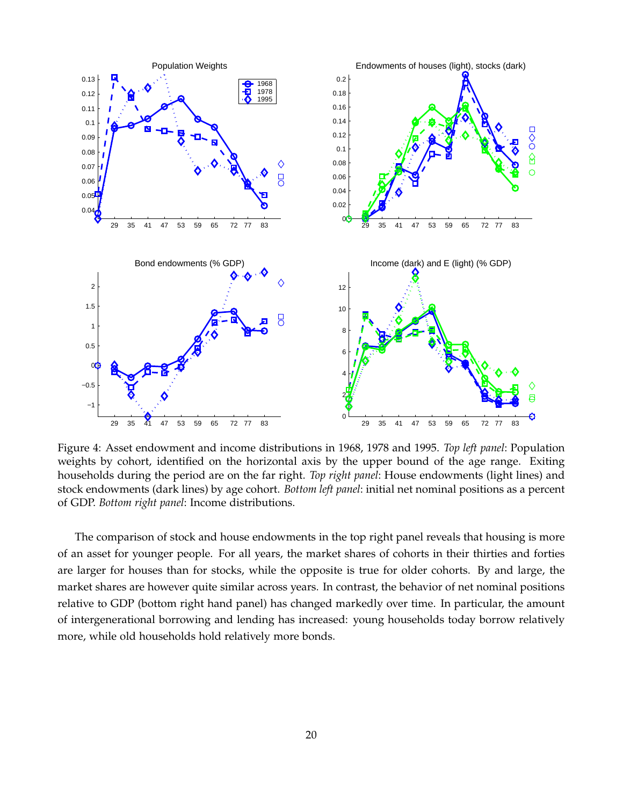

<span id="page-20-0"></span>Figure 4: Asset endowment and income distributions in 1968, 1978 and 1995. *Top left panel*: Population weights by cohort, identified on the horizontal axis by the upper bound of the age range. Exiting households during the period are on the far right. *Top right panel*: House endowments (light lines) and stock endowments (dark lines) by age cohort. *Bottom left panel*: initial net nominal positions as a percent of GDP. *Bottom right panel*: Income distributions.

The comparison of stock and house endowments in the top right panel reveals that housing is more of an asset for younger people. For all years, the market shares of cohorts in their thirties and forties are larger for houses than for stocks, while the opposite is true for older cohorts. By and large, the market shares are however quite similar across years. In contrast, the behavior of net nominal positions relative to GDP (bottom right hand panel) has changed markedly over time. In particular, the amount of intergenerational borrowing and lending has increased: young households today borrow relatively more, while old households hold relatively more bonds.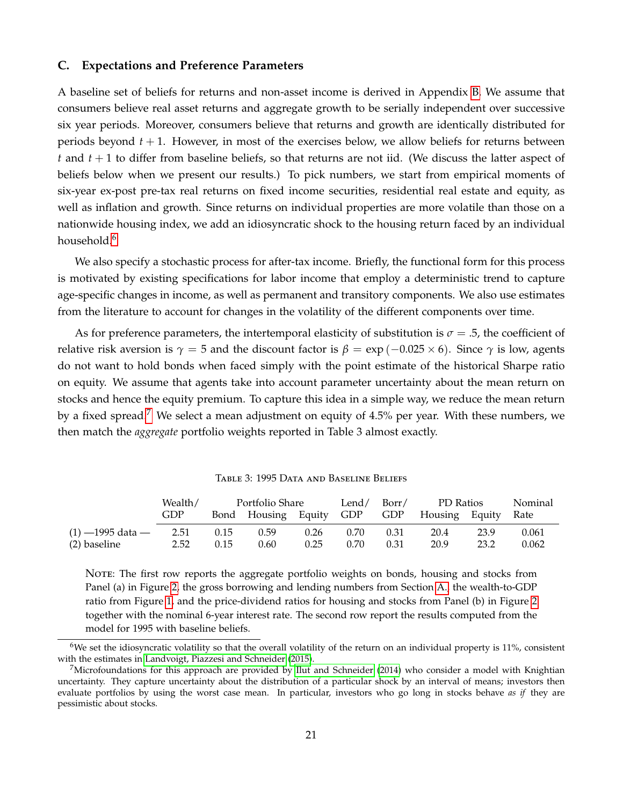#### **C. Expectations and Preference Parameters**

A baseline set of beliefs for returns and non-asset income is derived in Appendix [B.](#page-7-0) We assume that consumers believe real asset returns and aggregate growth to be serially independent over successive six year periods. Moreover, consumers believe that returns and growth are identically distributed for periods beyond *t* + 1. However, in most of the exercises below, we allow beliefs for returns between *t* and *t* + 1 to differ from baseline beliefs, so that returns are not iid. (We discuss the latter aspect of beliefs below when we present our results.) To pick numbers, we start from empirical moments of six-year ex-post pre-tax real returns on fixed income securities, residential real estate and equity, as well as inflation and growth. Since returns on individual properties are more volatile than those on a nationwide housing index, we add an idiosyncratic shock to the housing return faced by an individual household.<sup>[6](#page-21-0)</sup>

We also specify a stochastic process for after-tax income. Briefly, the functional form for this process is motivated by existing specifications for labor income that employ a deterministic trend to capture age-specific changes in income, as well as permanent and transitory components. We also use estimates from the literature to account for changes in the volatility of the different components over time.

As for preference parameters, the intertemporal elasticity of substitution is  $\sigma = 0.5$ , the coefficient of relative risk aversion is  $\gamma = 5$  and the discount factor is  $\beta = \exp(-0.025 \times 6)$ . Since  $\gamma$  is low, agents do not want to hold bonds when faced simply with the point estimate of the historical Sharpe ratio on equity. We assume that agents take into account parameter uncertainty about the mean return on stocks and hence the equity premium. To capture this idea in a simple way, we reduce the mean return by a fixed spread.<sup>[7](#page-21-1)</sup> We select a mean adjustment on equity of  $4.5\%$  per year. With these numbers, we then match the *aggregate* portfolio weights reported in Table 3 almost exactly.

|                    | Wealth/ | Portfolio Share |      |      | Lend $\angle$ | Borr/ | PD Ratios                                  | Nominal |       |
|--------------------|---------|-----------------|------|------|---------------|-------|--------------------------------------------|---------|-------|
|                    | GDP     |                 |      |      |               |       | Bond Housing Equity GDP GDP Housing Equity |         | Rate  |
| $(1)$ —1995 data — | 2.51    | 0.15            | 0.59 | 0.26 | 0.70          | 0.31  | 20.4                                       | 23.9    | 0.061 |
| (2) baseline       | 2.52    | 0.15            | 0.60 | 0.25 | 0.70          | 0.31  | 20.9                                       | 23.2    | 0.062 |

Table 3: 1995 Data and Baseline Beliefs

NOTE: The first row reports the aggregate portfolio weights on bonds, housing and stocks from Panel (a) in Figure [2,](#page-4-0) the gross borrowing and lending numbers from Section [A.,](#page-41-0) the wealth-to-GDP ratio from Figure [1,](#page-3-0) and the price-dividend ratios for housing and stocks from Panel (b) in Figure [2](#page-4-0) together with the nominal 6-year interest rate. The second row report the results computed from the model for 1995 with baseline beliefs.

<span id="page-21-0"></span> $6$ We set the idiosyncratic volatility so that the overall volatility of the return on an individual property is 11%, consistent with the estimates in [Landvoigt, Piazzesi and Schneider](#page-39-12) [\(2015\)](#page-39-12).

<span id="page-21-1"></span><sup>&</sup>lt;sup>7</sup>Microfoundations for this approach are provided by [Ilut and Schneider](#page-39-13) [\(2014\)](#page-39-13) who consider a model with Knightian uncertainty. They capture uncertainty about the distribution of a particular shock by an interval of means; investors then evaluate portfolios by using the worst case mean. In particular, investors who go long in stocks behave *as if* they are pessimistic about stocks.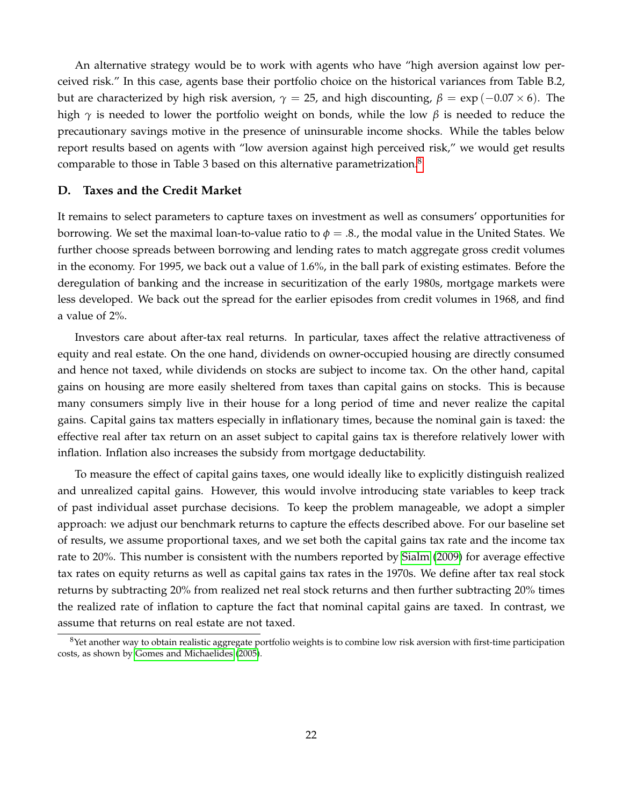An alternative strategy would be to work with agents who have "high aversion against low perceived risk." In this case, agents base their portfolio choice on the historical variances from Table B.2, but are characterized by high risk aversion,  $\gamma = 25$ , and high discounting,  $\beta = \exp(-0.07 \times 6)$ . The high *γ* is needed to lower the portfolio weight on bonds, while the low *β* is needed to reduce the precautionary savings motive in the presence of uninsurable income shocks. While the tables below report results based on agents with "low aversion against high perceived risk," we would get results comparable to those in Table 3 based on this alternative parametrization.<sup>[8](#page-22-1)</sup>

#### **D. Taxes and the Credit Market**

It remains to select parameters to capture taxes on investment as well as consumers' opportunities for borrowing. We set the maximal loan-to-value ratio to  $\phi = 0.8$ , the modal value in the United States. We further choose spreads between borrowing and lending rates to match aggregate gross credit volumes in the economy. For 1995, we back out a value of 1.6%, in the ball park of existing estimates. Before the deregulation of banking and the increase in securitization of the early 1980s, mortgage markets were less developed. We back out the spread for the earlier episodes from credit volumes in 1968, and find a value of 2%.

Investors care about after-tax real returns. In particular, taxes affect the relative attractiveness of equity and real estate. On the one hand, dividends on owner-occupied housing are directly consumed and hence not taxed, while dividends on stocks are subject to income tax. On the other hand, capital gains on housing are more easily sheltered from taxes than capital gains on stocks. This is because many consumers simply live in their house for a long period of time and never realize the capital gains. Capital gains tax matters especially in inflationary times, because the nominal gain is taxed: the effective real after tax return on an asset subject to capital gains tax is therefore relatively lower with inflation. Inflation also increases the subsidy from mortgage deductability.

To measure the effect of capital gains taxes, one would ideally like to explicitly distinguish realized and unrealized capital gains. However, this would involve introducing state variables to keep track of past individual asset purchase decisions. To keep the problem manageable, we adopt a simpler approach: we adjust our benchmark returns to capture the effects described above. For our baseline set of results, we assume proportional taxes, and we set both the capital gains tax rate and the income tax rate to 20%. This number is consistent with the numbers reported by [Sialm](#page-39-14) [\(2009\)](#page-39-14) for average effective tax rates on equity returns as well as capital gains tax rates in the 1970s. We define after tax real stock returns by subtracting 20% from realized net real stock returns and then further subtracting 20% times the realized rate of inflation to capture the fact that nominal capital gains are taxed. In contrast, we assume that returns on real estate are not taxed.

<span id="page-22-1"></span><span id="page-22-0"></span> $8$ Yet another way to obtain realistic aggregate portfolio weights is to combine low risk aversion with first-time participation costs, as shown by [Gomes and Michaelides](#page-38-16) [\(2005\)](#page-38-16).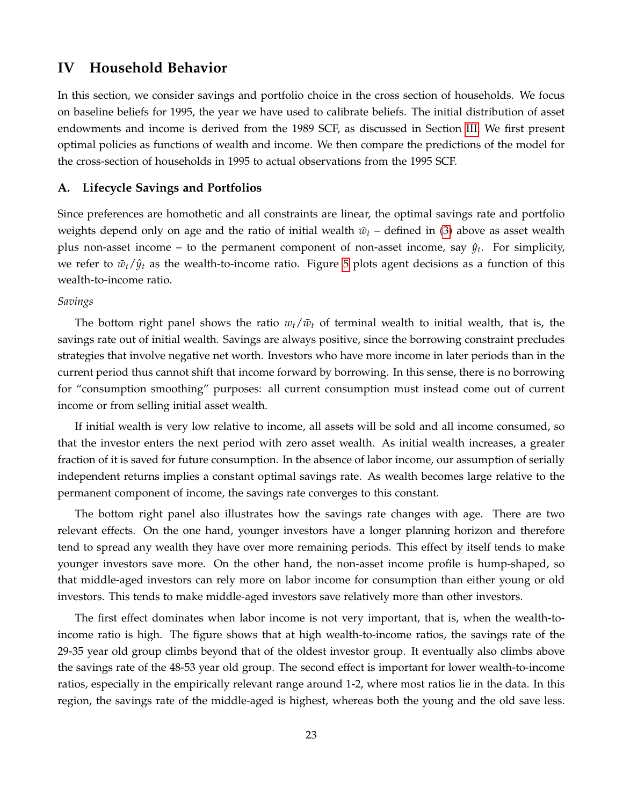# **IV Household Behavior**

In this section, we consider savings and portfolio choice in the cross section of households. We focus on baseline beliefs for 1995, the year we have used to calibrate beliefs. The initial distribution of asset endowments and income is derived from the 1989 SCF, as discussed in Section [III.](#page-15-0) We first present optimal policies as functions of wealth and income. We then compare the predictions of the model for the cross-section of households in 1995 to actual observations from the 1995 SCF.

## **A. Lifecycle Savings and Portfolios**

Since preferences are homothetic and all constraints are linear, the optimal savings rate and portfolio weights depend only on age and the ratio of initial wealth  $\bar{w}_t$  – defined in [\(3\)](#page-9-1) above as asset wealth plus non-asset income – to the permanent component of non-asset income, say  $\hat{y}_t$ . For simplicity, we refer to  $\bar{w}_t/\hat{y}_t$  as the wealth-to-income ratio. Figure [5](#page-24-0) plots agent decisions as a function of this wealth-to-income ratio.

# *Savings*

The bottom right panel shows the ratio  $w_t/\bar{w}_t$  of terminal wealth to initial wealth, that is, the savings rate out of initial wealth. Savings are always positive, since the borrowing constraint precludes strategies that involve negative net worth. Investors who have more income in later periods than in the current period thus cannot shift that income forward by borrowing. In this sense, there is no borrowing for "consumption smoothing" purposes: all current consumption must instead come out of current income or from selling initial asset wealth.

If initial wealth is very low relative to income, all assets will be sold and all income consumed, so that the investor enters the next period with zero asset wealth. As initial wealth increases, a greater fraction of it is saved for future consumption. In the absence of labor income, our assumption of serially independent returns implies a constant optimal savings rate. As wealth becomes large relative to the permanent component of income, the savings rate converges to this constant.

The bottom right panel also illustrates how the savings rate changes with age. There are two relevant effects. On the one hand, younger investors have a longer planning horizon and therefore tend to spread any wealth they have over more remaining periods. This effect by itself tends to make younger investors save more. On the other hand, the non-asset income profile is hump-shaped, so that middle-aged investors can rely more on labor income for consumption than either young or old investors. This tends to make middle-aged investors save relatively more than other investors.

The first effect dominates when labor income is not very important, that is, when the wealth-toincome ratio is high. The figure shows that at high wealth-to-income ratios, the savings rate of the 29-35 year old group climbs beyond that of the oldest investor group. It eventually also climbs above the savings rate of the 48-53 year old group. The second effect is important for lower wealth-to-income ratios, especially in the empirically relevant range around 1-2, where most ratios lie in the data. In this region, the savings rate of the middle-aged is highest, whereas both the young and the old save less.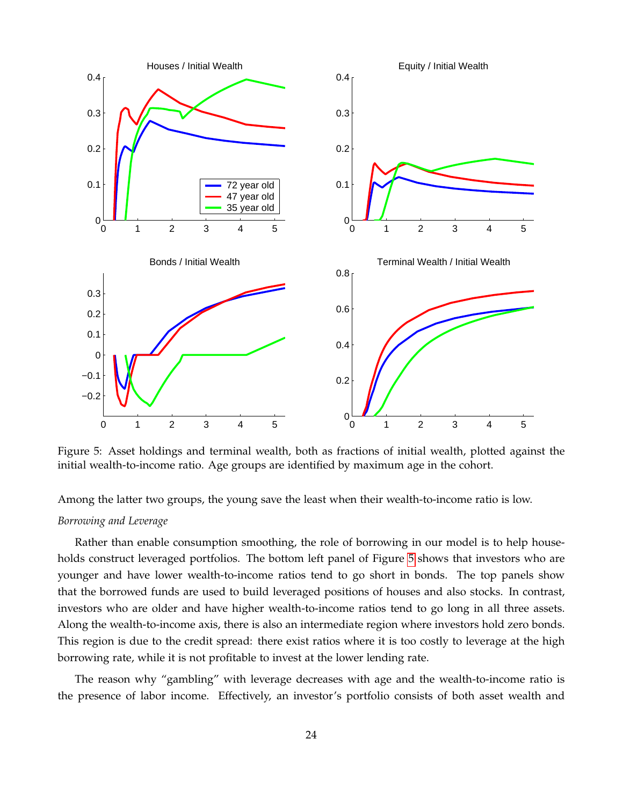

<span id="page-24-0"></span>Figure 5: Asset holdings and terminal wealth, both as fractions of initial wealth, plotted against the initial wealth-to-income ratio. Age groups are identified by maximum age in the cohort.

Among the latter two groups, the young save the least when their wealth-to-income ratio is low.

## *Borrowing and Leverage*

Rather than enable consumption smoothing, the role of borrowing in our model is to help households construct leveraged portfolios. The bottom left panel of Figure [5](#page-24-0) shows that investors who are younger and have lower wealth-to-income ratios tend to go short in bonds. The top panels show that the borrowed funds are used to build leveraged positions of houses and also stocks. In contrast, investors who are older and have higher wealth-to-income ratios tend to go long in all three assets. Along the wealth-to-income axis, there is also an intermediate region where investors hold zero bonds. This region is due to the credit spread: there exist ratios where it is too costly to leverage at the high borrowing rate, while it is not profitable to invest at the lower lending rate.

The reason why "gambling" with leverage decreases with age and the wealth-to-income ratio is the presence of labor income. Effectively, an investor's portfolio consists of both asset wealth and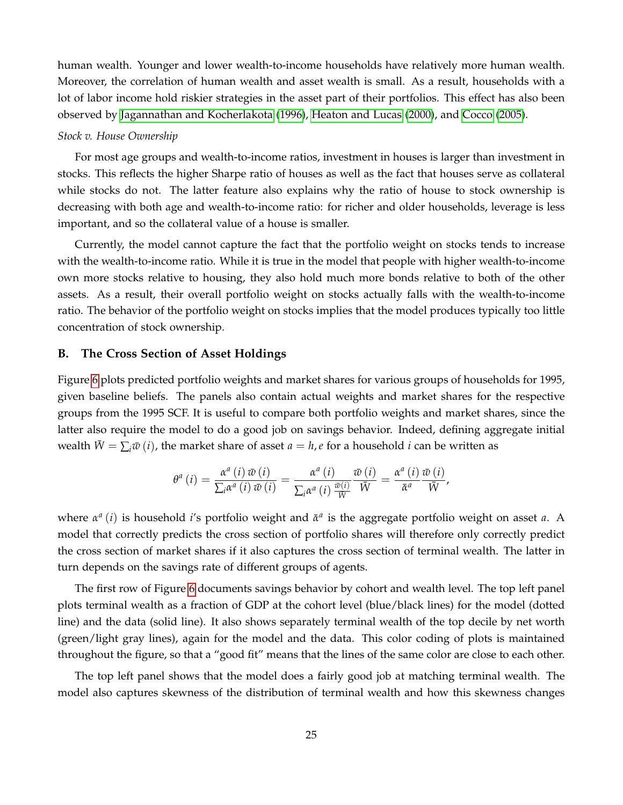human wealth. Younger and lower wealth-to-income households have relatively more human wealth. Moreover, the correlation of human wealth and asset wealth is small. As a result, households with a lot of labor income hold riskier strategies in the asset part of their portfolios. This effect has also been observed by [Jagannathan and Kocherlakota](#page-39-15) [\(1996\)](#page-39-15), [Heaton and Lucas](#page-39-16) [\(2000\)](#page-39-16), and [Cocco](#page-38-14) [\(2005\)](#page-38-14).

## *Stock v. House Ownership*

For most age groups and wealth-to-income ratios, investment in houses is larger than investment in stocks. This reflects the higher Sharpe ratio of houses as well as the fact that houses serve as collateral while stocks do not. The latter feature also explains why the ratio of house to stock ownership is decreasing with both age and wealth-to-income ratio: for richer and older households, leverage is less important, and so the collateral value of a house is smaller.

Currently, the model cannot capture the fact that the portfolio weight on stocks tends to increase with the wealth-to-income ratio. While it is true in the model that people with higher wealth-to-income own more stocks relative to housing, they also hold much more bonds relative to both of the other assets. As a result, their overall portfolio weight on stocks actually falls with the wealth-to-income ratio. The behavior of the portfolio weight on stocks implies that the model produces typically too little concentration of stock ownership.

## **B. The Cross Section of Asset Holdings**

Figure [6](#page-26-0) plots predicted portfolio weights and market shares for various groups of households for 1995, given baseline beliefs. The panels also contain actual weights and market shares for the respective groups from the 1995 SCF. It is useful to compare both portfolio weights and market shares, since the latter also require the model to do a good job on savings behavior. Indeed, defining aggregate initial wealth  $\bar{W} = \sum_i \bar{w}(i)$ , the market share of asset  $a = h$ , *e* for a household *i* can be written as

$$
\theta^{a}\left(i\right)=\frac{\alpha^{a}\left(i\right)\bar{w}\left(i\right)}{\sum_{i}\alpha^{a}\left(i\right)\bar{w}\left(i\right)}=\frac{\alpha^{a}\left(i\right)}{\sum_{i}\alpha^{a}\left(i\right)\frac{\bar{w}\left(i\right)}{\bar{W}}}\frac{\bar{w}\left(i\right)}{\bar{W}}=\frac{\alpha^{a}\left(i\right)}{\bar{\alpha}^{a}}\frac{\bar{w}\left(i\right)}{\bar{W}},
$$

where  $α<sup>a</sup> (i)$  is household *i*'s portfolio weight and  $\bar{α}<sup>a</sup>$  is the aggregate portfolio weight on asset *a*. A model that correctly predicts the cross section of portfolio shares will therefore only correctly predict the cross section of market shares if it also captures the cross section of terminal wealth. The latter in turn depends on the savings rate of different groups of agents.

The first row of Figure [6](#page-26-0) documents savings behavior by cohort and wealth level. The top left panel plots terminal wealth as a fraction of GDP at the cohort level (blue/black lines) for the model (dotted line) and the data (solid line). It also shows separately terminal wealth of the top decile by net worth (green/light gray lines), again for the model and the data. This color coding of plots is maintained throughout the figure, so that a "good fit" means that the lines of the same color are close to each other.

The top left panel shows that the model does a fairly good job at matching terminal wealth. The model also captures skewness of the distribution of terminal wealth and how this skewness changes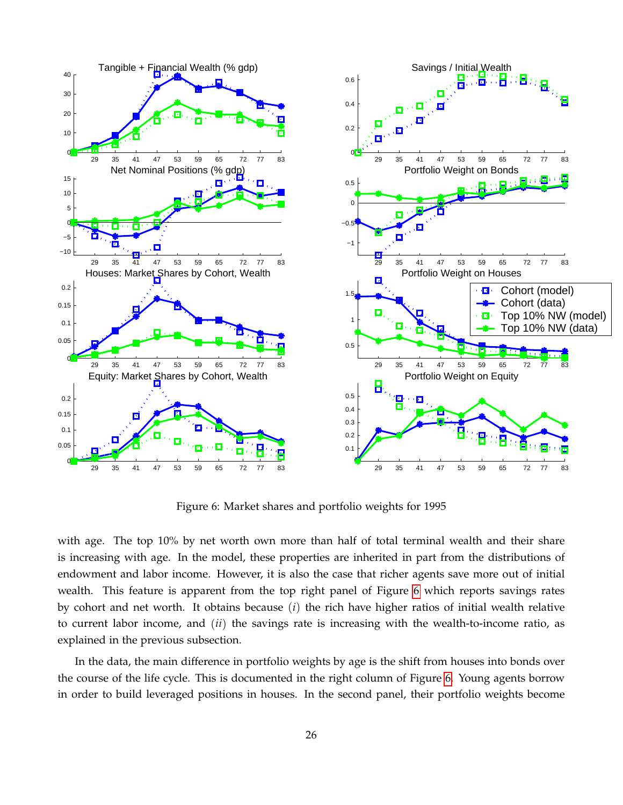

<span id="page-26-0"></span>Figure 6: Market shares and portfolio weights for 1995

with age. The top 10% by net worth own more than half of total terminal wealth and their share is increasing with age. In the model, these properties are inherited in part from the distributions of endowment and labor income. However, it is also the case that richer agents save more out of initial wealth. This feature is apparent from the top right panel of Figure [6](#page-26-0) which reports savings rates by cohort and net worth. It obtains because (*i*) the rich have higher ratios of initial wealth relative to current labor income, and (*ii*) the savings rate is increasing with the wealth-to-income ratio, as explained in the previous subsection.

In the data, the main difference in portfolio weights by age is the shift from houses into bonds over the course of the life cycle. This is documented in the right column of Figure [6.](#page-26-0) Young agents borrow in order to build leveraged positions in houses. In the second panel, their portfolio weights become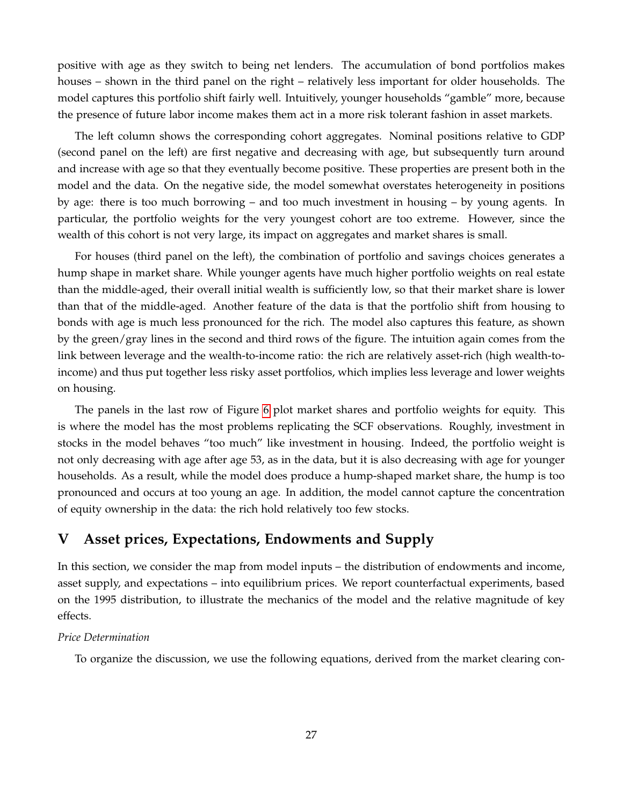positive with age as they switch to being net lenders. The accumulation of bond portfolios makes houses – shown in the third panel on the right – relatively less important for older households. The model captures this portfolio shift fairly well. Intuitively, younger households "gamble" more, because the presence of future labor income makes them act in a more risk tolerant fashion in asset markets.

The left column shows the corresponding cohort aggregates. Nominal positions relative to GDP (second panel on the left) are first negative and decreasing with age, but subsequently turn around and increase with age so that they eventually become positive. These properties are present both in the model and the data. On the negative side, the model somewhat overstates heterogeneity in positions by age: there is too much borrowing – and too much investment in housing – by young agents. In particular, the portfolio weights for the very youngest cohort are too extreme. However, since the wealth of this cohort is not very large, its impact on aggregates and market shares is small.

For houses (third panel on the left), the combination of portfolio and savings choices generates a hump shape in market share. While younger agents have much higher portfolio weights on real estate than the middle-aged, their overall initial wealth is sufficiently low, so that their market share is lower than that of the middle-aged. Another feature of the data is that the portfolio shift from housing to bonds with age is much less pronounced for the rich. The model also captures this feature, as shown by the green/gray lines in the second and third rows of the figure. The intuition again comes from the link between leverage and the wealth-to-income ratio: the rich are relatively asset-rich (high wealth-toincome) and thus put together less risky asset portfolios, which implies less leverage and lower weights on housing.

The panels in the last row of Figure [6](#page-26-0) plot market shares and portfolio weights for equity. This is where the model has the most problems replicating the SCF observations. Roughly, investment in stocks in the model behaves "too much" like investment in housing. Indeed, the portfolio weight is not only decreasing with age after age 53, as in the data, but it is also decreasing with age for younger households. As a result, while the model does produce a hump-shaped market share, the hump is too pronounced and occurs at too young an age. In addition, the model cannot capture the concentration of equity ownership in the data: the rich hold relatively too few stocks.

# <span id="page-27-0"></span>**V Asset prices, Expectations, Endowments and Supply**

In this section, we consider the map from model inputs – the distribution of endowments and income, asset supply, and expectations – into equilibrium prices. We report counterfactual experiments, based on the 1995 distribution, to illustrate the mechanics of the model and the relative magnitude of key effects.

# *Price Determination*

To organize the discussion, we use the following equations, derived from the market clearing con-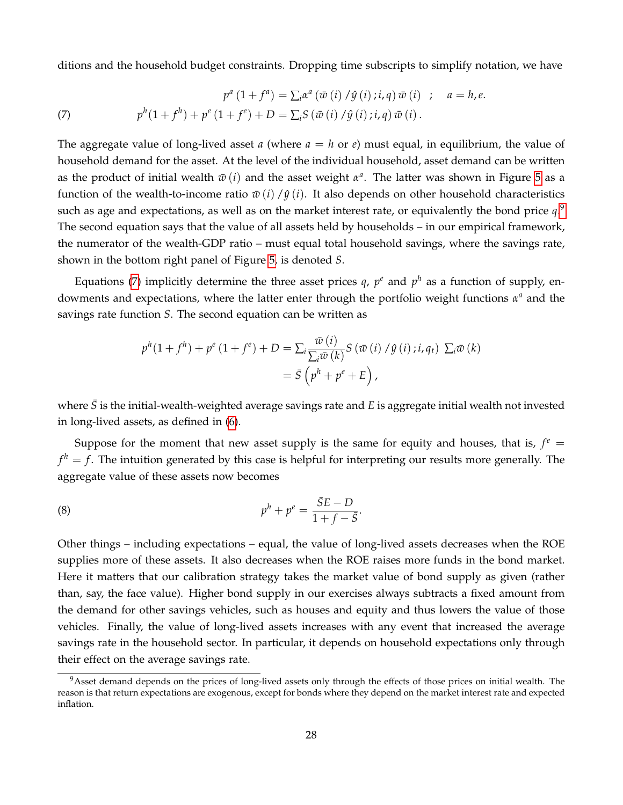ditions and the household budget constraints. Dropping time subscripts to simplify notation, we have

<span id="page-28-1"></span>(7) 
$$
p^{a}(1+f^{a}) = \sum_{i} \alpha^{a} (\bar{w}(i) / \hat{y}(i); i, q) \bar{w}(i) ; a = h, e.
$$

$$
p^{h}(1+f^{h}) + p^{e}(1+f^{e}) + D = \sum_{i} S (\bar{w}(i) / \hat{y}(i); i, q) \bar{w}(i).
$$

The aggregate value of long-lived asset *a* (where  $a = h$  or  $e$ ) must equal, in equilibrium, the value of household demand for the asset. At the level of the individual household, asset demand can be written as the product of initial wealth  $\bar{w}\left(i\right)$  and the asset weight  $\alpha^a$ . The latter was shown in Figure [5](#page-24-0) as a function of the wealth-to-income ratio  $\bar{w}(i) / \hat{y}(i)$ . It also depends on other household characteristics such as age and expectations, as well as on the market interest rate, or equivalently the bond price  $q$ . $9$ The second equation says that the value of all assets held by households – in our empirical framework, the numerator of the wealth-GDP ratio – must equal total household savings, where the savings rate, shown in the bottom right panel of Figure [5,](#page-24-0) is denoted *S*.

Equations [\(7\)](#page-28-1) implicitly determine the three asset prices  $q$ ,  $p^e$  and  $p^h$  as a function of supply, endowments and expectations, where the latter enter through the portfolio weight functions *α <sup>a</sup>* and the savings rate function *S*. The second equation can be written as

$$
p^{h}(1+f^{h}) + p^{e}(1+f^{e}) + D = \sum_{i} \frac{\bar{w}(i)}{\sum_{i} \bar{w}(k)} S(\bar{w}(i) / \hat{y}(i); i, q_{t}) \sum_{i} \bar{w}(k)
$$

$$
= \bar{S}\left(p^{h} + p^{e} + E\right),
$$

where  $\bar{S}$  is the initial-wealth-weighted average savings rate and *E* is aggregate initial wealth not invested in long-lived assets, as defined in [\(6\)](#page-19-0).

Suppose for the moment that new asset supply is the same for equity and houses, that is,  $f^e$  =  $f^h = f$ . The intuition generated by this case is helpful for interpreting our results more generally. The aggregate value of these assets now becomes

<span id="page-28-2"></span>.

$$
p^h + p^e = \frac{\bar{S}E - D}{1 + f - \bar{S}}
$$

Other things – including expectations – equal, the value of long-lived assets decreases when the ROE supplies more of these assets. It also decreases when the ROE raises more funds in the bond market. Here it matters that our calibration strategy takes the market value of bond supply as given (rather than, say, the face value). Higher bond supply in our exercises always subtracts a fixed amount from the demand for other savings vehicles, such as houses and equity and thus lowers the value of those vehicles. Finally, the value of long-lived assets increases with any event that increased the average savings rate in the household sector. In particular, it depends on household expectations only through their effect on the average savings rate.

<span id="page-28-0"></span><sup>&</sup>lt;sup>9</sup>Asset demand depends on the prices of long-lived assets only through the effects of those prices on initial wealth. The reason is that return expectations are exogenous, except for bonds where they depend on the market interest rate and expected inflation.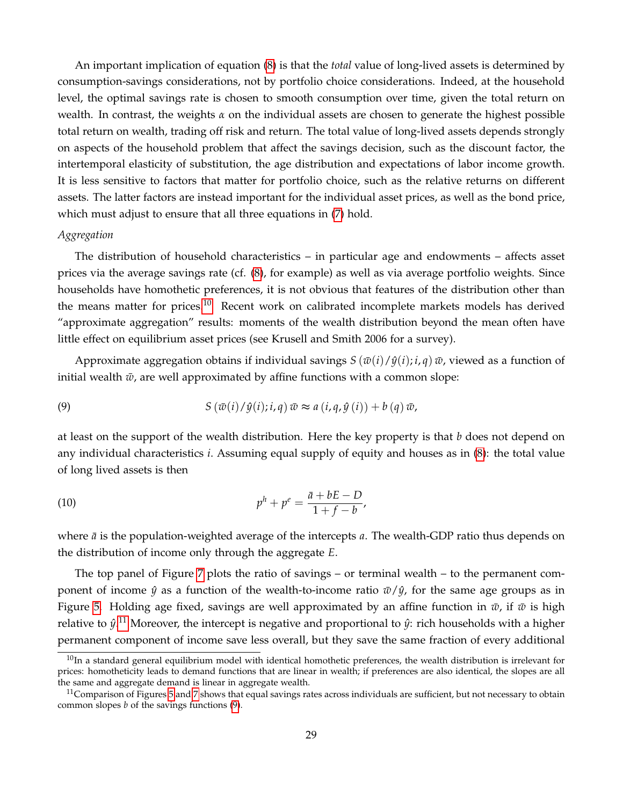An important implication of equation [\(8\)](#page-28-2) is that the *total* value of long-lived assets is determined by consumption-savings considerations, not by portfolio choice considerations. Indeed, at the household level, the optimal savings rate is chosen to smooth consumption over time, given the total return on wealth. In contrast, the weights *α* on the individual assets are chosen to generate the highest possible total return on wealth, trading off risk and return. The total value of long-lived assets depends strongly on aspects of the household problem that affect the savings decision, such as the discount factor, the intertemporal elasticity of substitution, the age distribution and expectations of labor income growth. It is less sensitive to factors that matter for portfolio choice, such as the relative returns on different assets. The latter factors are instead important for the individual asset prices, as well as the bond price, which must adjust to ensure that all three equations in [\(7\)](#page-28-1) hold.

#### *Aggregation*

The distribution of household characteristics – in particular age and endowments – affects asset prices via the average savings rate (cf. [\(8\)](#page-28-2), for example) as well as via average portfolio weights. Since households have homothetic preferences, it is not obvious that features of the distribution other than the means matter for prices.<sup>[10](#page-29-0)</sup> Recent work on calibrated incomplete markets models has derived "approximate aggregation" results: moments of the wealth distribution beyond the mean often have little effect on equilibrium asset prices (see Krusell and Smith 2006 for a survey).

Approximate aggregation obtains if individual savings  $S(\bar{w}(i)/\hat{y}(i); i, q) \bar{w}$ , viewed as a function of initial wealth  $\bar{w}$ , are well approximated by affine functions with a common slope:

<span id="page-29-2"></span>(9) 
$$
S(\bar{w}(i)/\hat{y}(i); i, q) \bar{w} \approx a(i, q, \hat{y}(i)) + b(q) \bar{w},
$$

at least on the support of the wealth distribution. Here the key property is that *b* does not depend on any individual characteristics *i*. Assuming equal supply of equity and houses as in [\(8\)](#page-28-2): the total value of long lived assets is then

(10) 
$$
p^{h} + p^{e} = \frac{\bar{a} + bE - D}{1 + f - b},
$$

where  $\bar{a}$  is the population-weighted average of the intercepts *a*. The wealth-GDP ratio thus depends on the distribution of income only through the aggregate *E*.

The top panel of Figure [7](#page-30-0) plots the ratio of savings – or terminal wealth – to the permanent component of income  $\hat{y}$  as a function of the wealth-to-income ratio  $\bar{w}/\hat{y}$ , for the same age groups as in Figure [5.](#page-24-0) Holding age fixed, savings are well approximated by an affine function in  $\bar{w}$ , if  $\bar{w}$  is high relative to  $\hat{y}.^{11}$  $\hat{y}.^{11}$  $\hat{y}.^{11}$  Moreover, the intercept is negative and proportional to  $\hat{y}$ : rich households with a higher permanent component of income save less overall, but they save the same fraction of every additional

<span id="page-29-0"></span> $10$ In a standard general equilibrium model with identical homothetic preferences, the wealth distribution is irrelevant for prices: homotheticity leads to demand functions that are linear in wealth; if preferences are also identical, the slopes are all the same and aggregate demand is linear in aggregate wealth.

<span id="page-29-1"></span> $11$ Comparison of Figures [5](#page-24-0) and [7](#page-30-0) shows that equal savings rates across individuals are sufficient, but not necessary to obtain common slopes *b* of the savings functions [\(9\)](#page-29-2).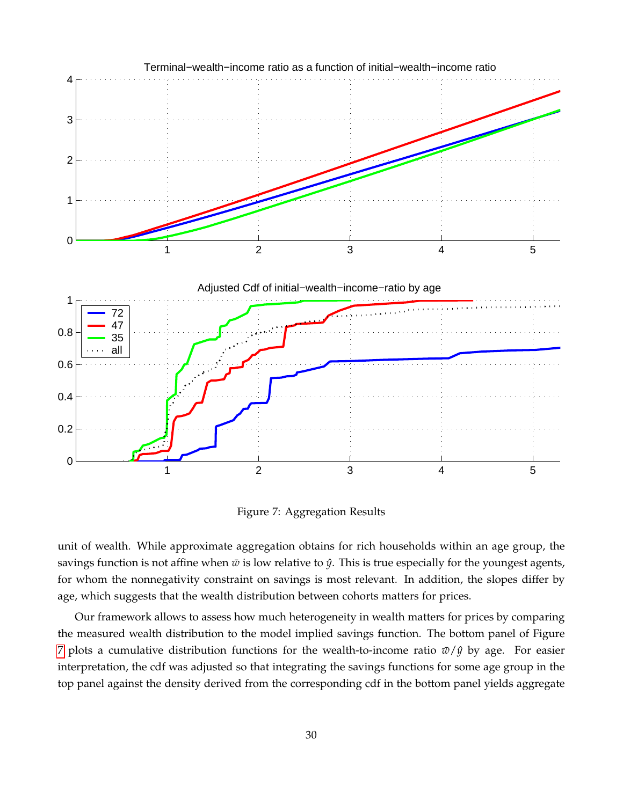

<span id="page-30-0"></span>Figure 7: Aggregation Results

unit of wealth. While approximate aggregation obtains for rich households within an age group, the savings function is not affine when  $\bar{w}$  is low relative to  $\hat{y}$ . This is true especially for the youngest agents, for whom the nonnegativity constraint on savings is most relevant. In addition, the slopes differ by age, which suggests that the wealth distribution between cohorts matters for prices.

Our framework allows to assess how much heterogeneity in wealth matters for prices by comparing the measured wealth distribution to the model implied savings function. The bottom panel of Figure [7](#page-30-0) plots a cumulative distribution functions for the wealth-to-income ratio  $\bar{w}/\hat{y}$  by age. For easier interpretation, the cdf was adjusted so that integrating the savings functions for some age group in the top panel against the density derived from the corresponding cdf in the bottom panel yields aggregate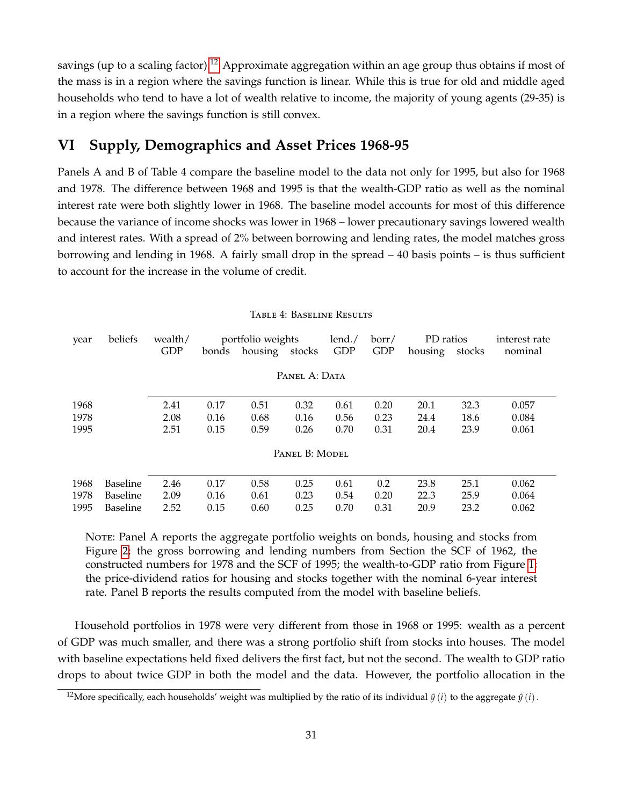savings (up to a scaling factor).<sup>[12](#page-31-1)</sup> Approximate aggregation within an age group thus obtains if most of the mass is in a region where the savings function is linear. While this is true for old and middle aged households who tend to have a lot of wealth relative to income, the majority of young agents (29-35) is in a region where the savings function is still convex.

# <span id="page-31-0"></span>**VI Supply, Demographics and Asset Prices 1968-95**

Panels A and B of Table 4 compare the baseline model to the data not only for 1995, but also for 1968 and 1978. The difference between 1968 and 1995 is that the wealth-GDP ratio as well as the nominal interest rate were both slightly lower in 1968. The baseline model accounts for most of this difference because the variance of income shocks was lower in 1968 – lower precautionary savings lowered wealth and interest rates. With a spread of 2% between borrowing and lending rates, the model matches gross borrowing and lending in 1968. A fairly small drop in the spread – 40 basis points – is thus sufficient to account for the increase in the volume of credit.

| year | beliefs         | wealth/    |       | portfolio weights |                | lend./     | borr/ | PD ratios |        | interest rate |
|------|-----------------|------------|-------|-------------------|----------------|------------|-------|-----------|--------|---------------|
|      |                 | <b>GDP</b> | bonds | housing           | stocks         | <b>GDP</b> | GDP   | housing   | stocks | nominal       |
|      |                 |            |       |                   |                |            |       |           |        |               |
|      |                 |            |       |                   | PANEL A: DATA  |            |       |           |        |               |
|      |                 |            |       |                   |                |            |       |           |        |               |
| 1968 |                 | 2.41       | 0.17  | 0.51              | 0.32           | 0.61       | 0.20  | 20.1      | 32.3   | 0.057         |
| 1978 |                 | 2.08       | 0.16  | 0.68              | 0.16           | 0.56       | 0.23  | 24.4      | 18.6   | 0.084         |
| 1995 |                 | 2.51       | 0.15  | 0.59              | 0.26           | 0.70       | 0.31  | 20.4      | 23.9   | 0.061         |
|      |                 |            |       |                   |                |            |       |           |        |               |
|      |                 |            |       |                   | PANEL B: MODEL |            |       |           |        |               |
|      |                 |            |       |                   |                |            |       |           |        |               |
| 1968 | <b>Baseline</b> | 2.46       | 0.17  | 0.58              | 0.25           | 0.61       | 0.2   | 23.8      | 25.1   | 0.062         |
| 1978 | <b>Baseline</b> | 2.09       | 0.16  | 0.61              | 0.23           | 0.54       | 0.20  | 22.3      | 25.9   | 0.064         |
| 1995 | <b>Baseline</b> | 2.52       | 0.15  | 0.60              | 0.25           | 0.70       | 0.31  | 20.9      | 23.2   | 0.062         |

Table 4: Baseline Results

NOTE: Panel A reports the aggregate portfolio weights on bonds, housing and stocks from Figure [2;](#page-4-0) the gross borrowing and lending numbers from Section the SCF of 1962, the constructed numbers for 1978 and the SCF of 1995; the wealth-to-GDP ratio from Figure [1;](#page-3-0) the price-dividend ratios for housing and stocks together with the nominal 6-year interest rate. Panel B reports the results computed from the model with baseline beliefs.

Household portfolios in 1978 were very different from those in 1968 or 1995: wealth as a percent of GDP was much smaller, and there was a strong portfolio shift from stocks into houses. The model with baseline expectations held fixed delivers the first fact, but not the second. The wealth to GDP ratio drops to about twice GDP in both the model and the data. However, the portfolio allocation in the

<span id="page-31-1"></span><sup>&</sup>lt;sup>12</sup>More specifically, each households' weight was multiplied by the ratio of its individual  $\hat{y}(i)$  to the aggregate  $\hat{y}(i)$ .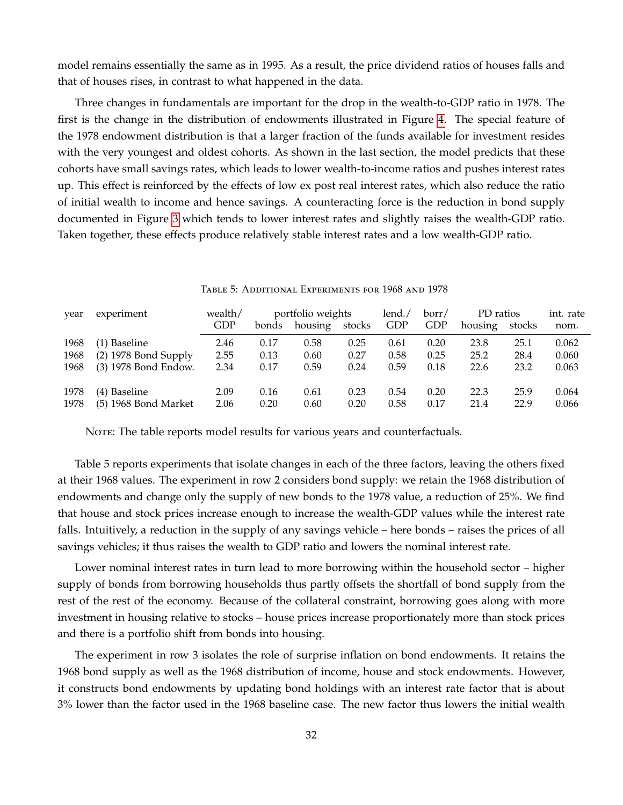model remains essentially the same as in 1995. As a result, the price dividend ratios of houses falls and that of houses rises, in contrast to what happened in the data.

Three changes in fundamentals are important for the drop in the wealth-to-GDP ratio in 1978. The first is the change in the distribution of endowments illustrated in Figure [4.](#page-20-0) The special feature of the 1978 endowment distribution is that a larger fraction of the funds available for investment resides with the very youngest and oldest cohorts. As shown in the last section, the model predicts that these cohorts have small savings rates, which leads to lower wealth-to-income ratios and pushes interest rates up. This effect is reinforced by the effects of low ex post real interest rates, which also reduce the ratio of initial wealth to income and hence savings. A counteracting force is the reduction in bond supply documented in Figure [3](#page-17-0) which tends to lower interest rates and slightly raises the wealth-GDP ratio. Taken together, these effects produce relatively stable interest rates and a low wealth-GDP ratio.

| year         | experiment                             | wealth/      | portfolio weights |              |              | lend./       | borr/        | PD ratios    |              | int. rate      |
|--------------|----------------------------------------|--------------|-------------------|--------------|--------------|--------------|--------------|--------------|--------------|----------------|
|              |                                        | <b>GDP</b>   | bonds             | housing      | stocks       | GDP          | GDP          | housing      | stocks       | nom.           |
| 1968         | (1) Baseline                           | 2.46         | 0.17              | 0.58         | 0.25         | 0.61         | 0.20         | 23.8         | 25.1         | 0.062          |
| 1968         | $(2)$ 1978 Bond Supply                 | 2.55         | 0.13              | 0.60         | 0.27         | 0.58         | 0.25         | 25.2         | 28.4         | 0.060          |
| 1968         | (3) 1978 Bond Endow.                   | 2.34         | 0.17              | 0.59         | 0.24         | 0.59         | 0.18         | 22.6         | 23.2         | 0.063          |
| 1978<br>1978 | (4) Baseline<br>$(5)$ 1968 Bond Market | 2.09<br>2.06 | 0.16<br>0.20      | 0.61<br>0.60 | 0.23<br>0.20 | 0.54<br>0.58 | 0.20<br>0.17 | 22.3<br>21.4 | 25.9<br>22.9 | 0.064<br>0.066 |

Table 5: Additional Experiments for 1968 and 1978

NOTE: The table reports model results for various years and counterfactuals.

Table 5 reports experiments that isolate changes in each of the three factors, leaving the others fixed at their 1968 values. The experiment in row 2 considers bond supply: we retain the 1968 distribution of endowments and change only the supply of new bonds to the 1978 value, a reduction of 25%. We find that house and stock prices increase enough to increase the wealth-GDP values while the interest rate falls. Intuitively, a reduction in the supply of any savings vehicle – here bonds – raises the prices of all savings vehicles; it thus raises the wealth to GDP ratio and lowers the nominal interest rate.

Lower nominal interest rates in turn lead to more borrowing within the household sector – higher supply of bonds from borrowing households thus partly offsets the shortfall of bond supply from the rest of the rest of the economy. Because of the collateral constraint, borrowing goes along with more investment in housing relative to stocks – house prices increase proportionately more than stock prices and there is a portfolio shift from bonds into housing.

The experiment in row 3 isolates the role of surprise inflation on bond endowments. It retains the 1968 bond supply as well as the 1968 distribution of income, house and stock endowments. However, it constructs bond endowments by updating bond holdings with an interest rate factor that is about 3% lower than the factor used in the 1968 baseline case. The new factor thus lowers the initial wealth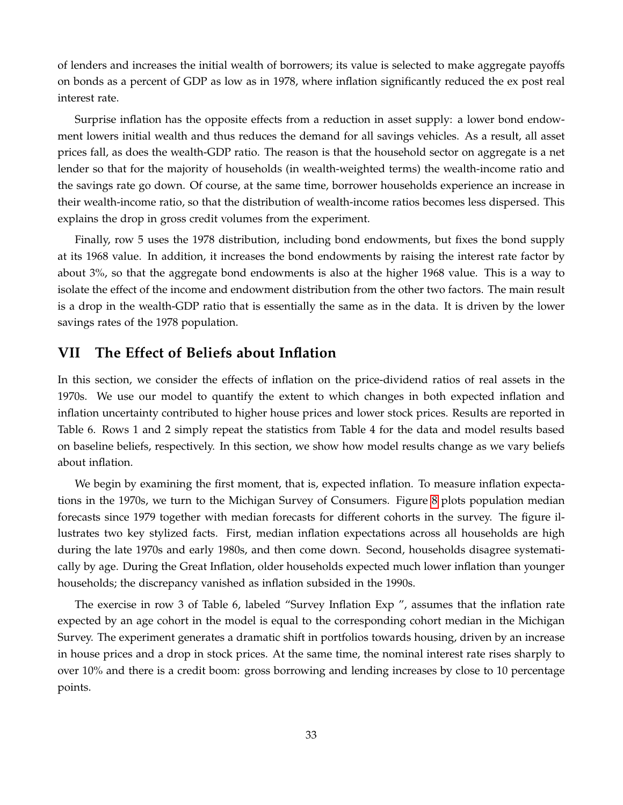of lenders and increases the initial wealth of borrowers; its value is selected to make aggregate payoffs on bonds as a percent of GDP as low as in 1978, where inflation significantly reduced the ex post real interest rate.

Surprise inflation has the opposite effects from a reduction in asset supply: a lower bond endowment lowers initial wealth and thus reduces the demand for all savings vehicles. As a result, all asset prices fall, as does the wealth-GDP ratio. The reason is that the household sector on aggregate is a net lender so that for the majority of households (in wealth-weighted terms) the wealth-income ratio and the savings rate go down. Of course, at the same time, borrower households experience an increase in their wealth-income ratio, so that the distribution of wealth-income ratios becomes less dispersed. This explains the drop in gross credit volumes from the experiment.

Finally, row 5 uses the 1978 distribution, including bond endowments, but fixes the bond supply at its 1968 value. In addition, it increases the bond endowments by raising the interest rate factor by about 3%, so that the aggregate bond endowments is also at the higher 1968 value. This is a way to isolate the effect of the income and endowment distribution from the other two factors. The main result is a drop in the wealth-GDP ratio that is essentially the same as in the data. It is driven by the lower savings rates of the 1978 population.

# <span id="page-33-0"></span>**VII The Effect of Beliefs about Inflation**

In this section, we consider the effects of inflation on the price-dividend ratios of real assets in the 1970s. We use our model to quantify the extent to which changes in both expected inflation and inflation uncertainty contributed to higher house prices and lower stock prices. Results are reported in Table 6. Rows 1 and 2 simply repeat the statistics from Table 4 for the data and model results based on baseline beliefs, respectively. In this section, we show how model results change as we vary beliefs about inflation.

We begin by examining the first moment, that is, expected inflation. To measure inflation expectations in the 1970s, we turn to the Michigan Survey of Consumers. Figure [8](#page-34-0) plots population median forecasts since 1979 together with median forecasts for different cohorts in the survey. The figure illustrates two key stylized facts. First, median inflation expectations across all households are high during the late 1970s and early 1980s, and then come down. Second, households disagree systematically by age. During the Great Inflation, older households expected much lower inflation than younger households; the discrepancy vanished as inflation subsided in the 1990s.

The exercise in row 3 of Table 6, labeled "Survey Inflation Exp ", assumes that the inflation rate expected by an age cohort in the model is equal to the corresponding cohort median in the Michigan Survey. The experiment generates a dramatic shift in portfolios towards housing, driven by an increase in house prices and a drop in stock prices. At the same time, the nominal interest rate rises sharply to over 10% and there is a credit boom: gross borrowing and lending increases by close to 10 percentage points.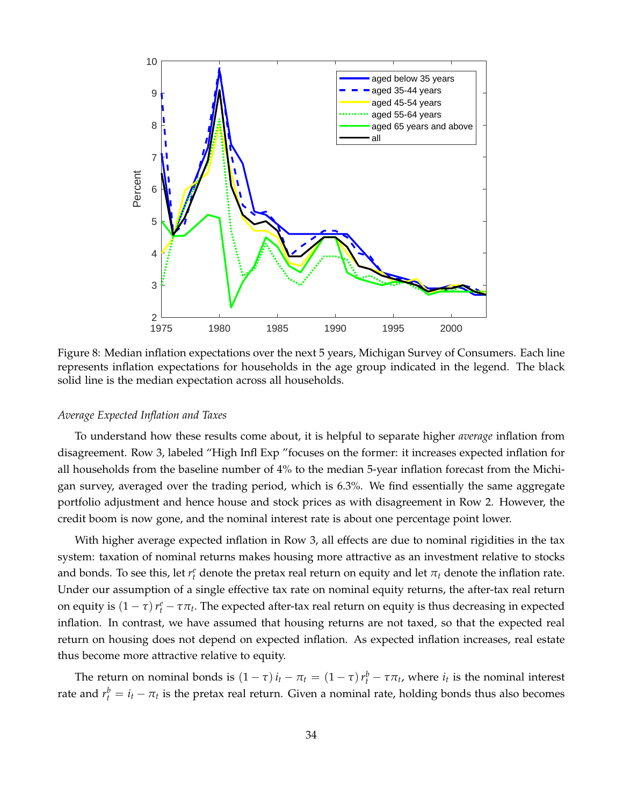

<span id="page-34-0"></span>Figure 8: Median inflation expectations over the next 5 years, Michigan Survey of Consumers. Each line represents inflation expectations for households in the age group indicated in the legend. The black solid line is the median expectation across all households.

#### *Average Expected Inflation and Taxes*

To understand how these results come about, it is helpful to separate higher *average* inflation from disagreement. Row 3, labeled "High Infl Exp "focuses on the former: it increases expected inflation for all households from the baseline number of 4% to the median 5-year inflation forecast from the Michigan survey, averaged over the trading period, which is 6.3%. We find essentially the same aggregate portfolio adjustment and hence house and stock prices as with disagreement in Row 2. However, the credit boom is now gone, and the nominal interest rate is about one percentage point lower.

With higher average expected inflation in Row 3, all effects are due to nominal rigidities in the tax system: taxation of nominal returns makes housing more attractive as an investment relative to stocks and bonds. To see this, let  $r_t^e$  denote the pretax real return on equity and let  $\pi_t$  denote the inflation rate. Under our assumption of a single effective tax rate on nominal equity returns, the after-tax real return on equity is  $(1 - \tau) r_t^e - \tau \pi_t$ . The expected after-tax real return on equity is thus decreasing in expected inflation. In contrast, we have assumed that housing returns are not taxed, so that the expected real return on housing does not depend on expected inflation. As expected inflation increases, real estate thus become more attractive relative to equity.

The return on nominal bonds is  $(1 - \tau) i_t - \pi_t = (1 - \tau) r_t^b - \tau \pi_t$ , where  $i_t$  is the nominal interest rate and  $r_t^b = i_t - \pi_t$  is the pretax real return. Given a nominal rate, holding bonds thus also becomes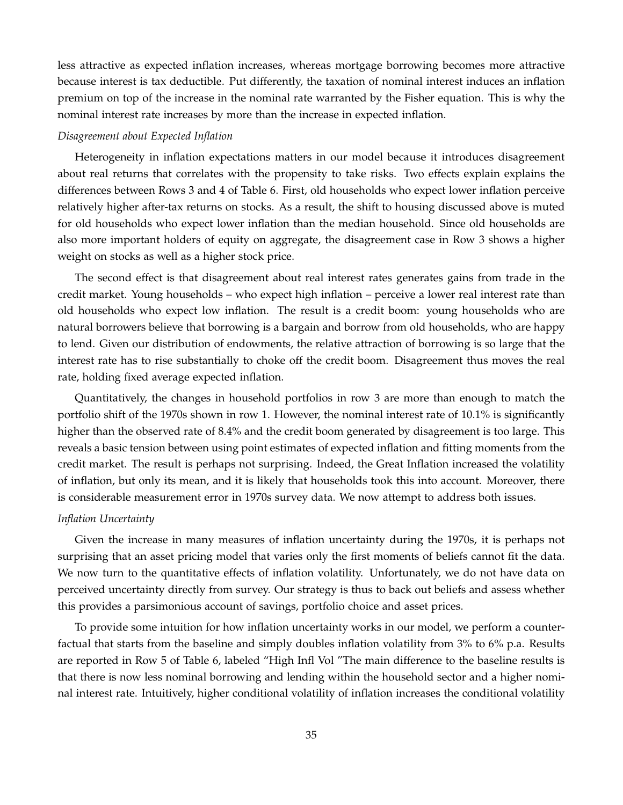less attractive as expected inflation increases, whereas mortgage borrowing becomes more attractive because interest is tax deductible. Put differently, the taxation of nominal interest induces an inflation premium on top of the increase in the nominal rate warranted by the Fisher equation. This is why the nominal interest rate increases by more than the increase in expected inflation.

## *Disagreement about Expected Inflation*

Heterogeneity in inflation expectations matters in our model because it introduces disagreement about real returns that correlates with the propensity to take risks. Two effects explain explains the differences between Rows 3 and 4 of Table 6. First, old households who expect lower inflation perceive relatively higher after-tax returns on stocks. As a result, the shift to housing discussed above is muted for old households who expect lower inflation than the median household. Since old households are also more important holders of equity on aggregate, the disagreement case in Row 3 shows a higher weight on stocks as well as a higher stock price.

The second effect is that disagreement about real interest rates generates gains from trade in the credit market. Young households – who expect high inflation – perceive a lower real interest rate than old households who expect low inflation. The result is a credit boom: young households who are natural borrowers believe that borrowing is a bargain and borrow from old households, who are happy to lend. Given our distribution of endowments, the relative attraction of borrowing is so large that the interest rate has to rise substantially to choke off the credit boom. Disagreement thus moves the real rate, holding fixed average expected inflation.

Quantitatively, the changes in household portfolios in row 3 are more than enough to match the portfolio shift of the 1970s shown in row 1. However, the nominal interest rate of 10.1% is significantly higher than the observed rate of 8.4% and the credit boom generated by disagreement is too large. This reveals a basic tension between using point estimates of expected inflation and fitting moments from the credit market. The result is perhaps not surprising. Indeed, the Great Inflation increased the volatility of inflation, but only its mean, and it is likely that households took this into account. Moreover, there is considerable measurement error in 1970s survey data. We now attempt to address both issues.

# *Inflation Uncertainty*

Given the increase in many measures of inflation uncertainty during the 1970s, it is perhaps not surprising that an asset pricing model that varies only the first moments of beliefs cannot fit the data. We now turn to the quantitative effects of inflation volatility. Unfortunately, we do not have data on perceived uncertainty directly from survey. Our strategy is thus to back out beliefs and assess whether this provides a parsimonious account of savings, portfolio choice and asset prices.

To provide some intuition for how inflation uncertainty works in our model, we perform a counterfactual that starts from the baseline and simply doubles inflation volatility from 3% to 6% p.a. Results are reported in Row 5 of Table 6, labeled "High Infl Vol "The main difference to the baseline results is that there is now less nominal borrowing and lending within the household sector and a higher nominal interest rate. Intuitively, higher conditional volatility of inflation increases the conditional volatility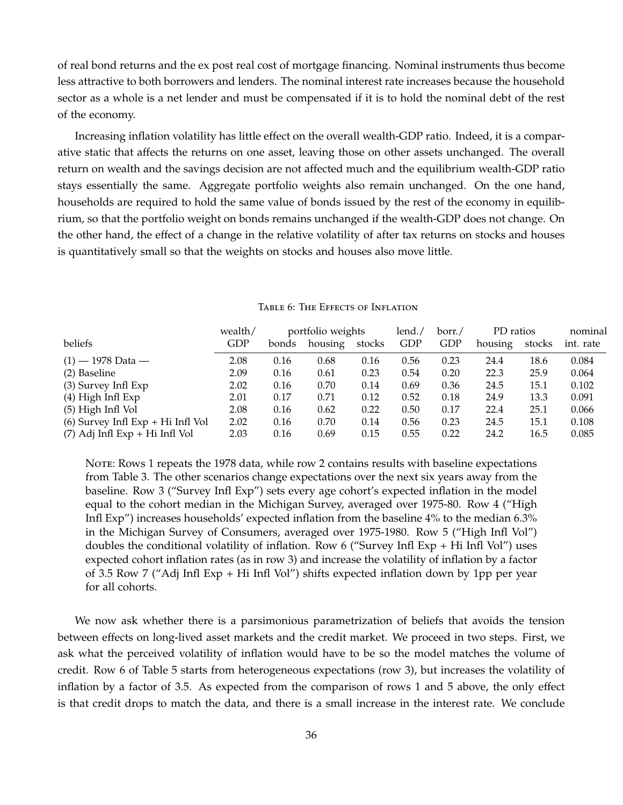of real bond returns and the ex post real cost of mortgage financing. Nominal instruments thus become less attractive to both borrowers and lenders. The nominal interest rate increases because the household sector as a whole is a net lender and must be compensated if it is to hold the nominal debt of the rest of the economy.

Increasing inflation volatility has little effect on the overall wealth-GDP ratio. Indeed, it is a comparative static that affects the returns on one asset, leaving those on other assets unchanged. The overall return on wealth and the savings decision are not affected much and the equilibrium wealth-GDP ratio stays essentially the same. Aggregate portfolio weights also remain unchanged. On the one hand, households are required to hold the same value of bonds issued by the rest of the economy in equilibrium, so that the portfolio weight on bonds remains unchanged if the wealth-GDP does not change. On the other hand, the effect of a change in the relative volatility of after tax returns on stocks and houses is quantitatively small so that the weights on stocks and houses also move little.

|                                     | wealth/ |       | portfolio weights |        | lend./ | borr./ | PD ratios |        | nominal   |
|-------------------------------------|---------|-------|-------------------|--------|--------|--------|-----------|--------|-----------|
| beliefs                             | GDP     | bonds | housing           | stocks | GDP    | GDP    | housing   | stocks | int. rate |
| $(1)$ — 1978 Data —                 | 2.08    | 0.16  | 0.68              | 0.16   | 0.56   | 0.23   | 24.4      | 18.6   | 0.084     |
| (2) Baseline                        | 2.09    | 0.16  | 0.61              | 0.23   | 0.54   | 0.20   | 22.3      | 25.9   | 0.064     |
| (3) Survey Infl Exp                 | 2.02    | 0.16  | 0.70              | 0.14   | 0.69   | 0.36   | 24.5      | 15.1   | 0.102     |
| $(4)$ High Infl Exp                 | 2.01    | 0.17  | 0.71              | 0.12   | 0.52   | 0.18   | 24.9      | 13.3   | 0.091     |
| $(5)$ High Infl Vol                 | 2.08    | 0.16  | 0.62              | 0.22   | 0.50   | 0.17   | 22.4      | 25.1   | 0.066     |
| $(6)$ Survey Infl Exp + Hi Infl Vol | 2.02    | 0.16  | 0.70              | 0.14   | 0.56   | 0.23   | 24.5      | 15.1   | 0.108     |
| $(7)$ Adj Infl Exp + Hi Infl Vol    | 2.03    | 0.16  | 0.69              | 0.15   | 0.55   | 0.22   | 24.2      | 16.5   | 0.085     |

#### Table 6: The Effects of Inflation

NOTE: Rows 1 repeats the 1978 data, while row 2 contains results with baseline expectations from Table 3. The other scenarios change expectations over the next six years away from the baseline. Row 3 ("Survey Infl Exp") sets every age cohort's expected inflation in the model equal to the cohort median in the Michigan Survey, averaged over 1975-80. Row 4 ("High Infl Exp") increases households' expected inflation from the baseline 4% to the median 6.3% in the Michigan Survey of Consumers, averaged over 1975-1980. Row 5 ("High Infl Vol") doubles the conditional volatility of inflation. Row 6 ("Survey Infl Exp + Hi Infl Vol") uses expected cohort inflation rates (as in row 3) and increase the volatility of inflation by a factor of 3.5 Row 7 ("Adj Infl Exp + Hi Infl Vol") shifts expected inflation down by 1pp per year for all cohorts.

We now ask whether there is a parsimonious parametrization of beliefs that avoids the tension between effects on long-lived asset markets and the credit market. We proceed in two steps. First, we ask what the perceived volatility of inflation would have to be so the model matches the volume of credit. Row 6 of Table 5 starts from heterogeneous expectations (row 3), but increases the volatility of inflation by a factor of 3.5. As expected from the comparison of rows 1 and 5 above, the only effect is that credit drops to match the data, and there is a small increase in the interest rate. We conclude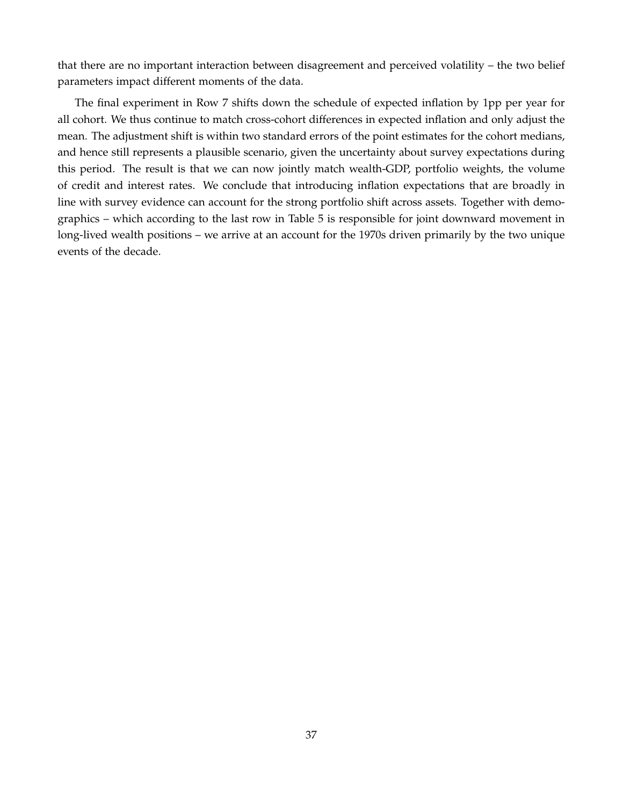that there are no important interaction between disagreement and perceived volatility – the two belief parameters impact different moments of the data.

The final experiment in Row 7 shifts down the schedule of expected inflation by 1pp per year for all cohort. We thus continue to match cross-cohort differences in expected inflation and only adjust the mean. The adjustment shift is within two standard errors of the point estimates for the cohort medians, and hence still represents a plausible scenario, given the uncertainty about survey expectations during this period. The result is that we can now jointly match wealth-GDP, portfolio weights, the volume of credit and interest rates. We conclude that introducing inflation expectations that are broadly in line with survey evidence can account for the strong portfolio shift across assets. Together with demographics – which according to the last row in Table 5 is responsible for joint downward movement in long-lived wealth positions – we arrive at an account for the 1970s driven primarily by the two unique events of the decade.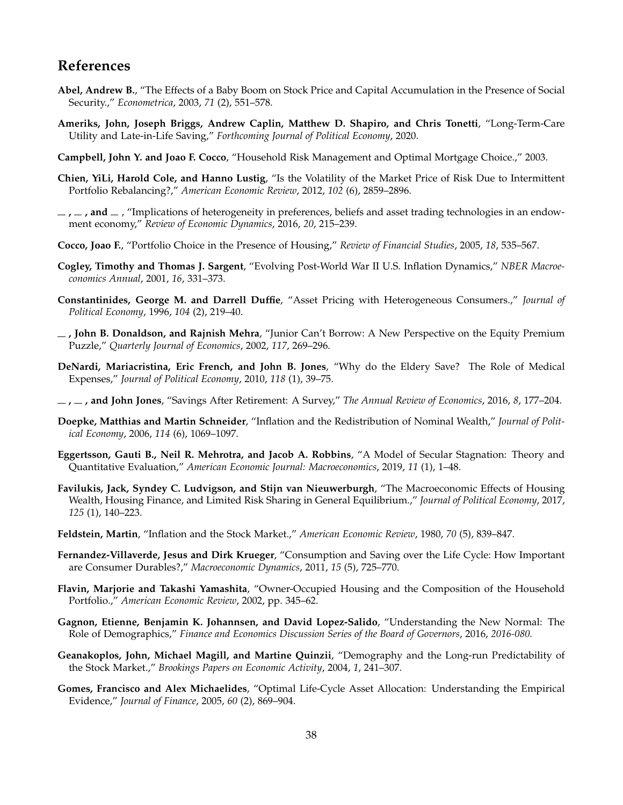# **References**

- <span id="page-38-0"></span>**Abel, Andrew B.**, "The Effects of a Baby Boom on Stock Price and Capital Accumulation in the Presence of Social Security.," *Econometrica*, 2003, *71* (2), 551–578.
- <span id="page-38-19"></span>**Ameriks, John, Joseph Briggs, Andrew Caplin, Matthew D. Shapiro, and Chris Tonetti**, "Long-Term-Care Utility and Late-in-Life Saving," *Forthcoming Journal of Political Economy*, 2020.
- <span id="page-38-12"></span>**Campbell, John Y. and Joao F. Cocco**, "Household Risk Management and Optimal Mortgage Choice.," 2003.
- <span id="page-38-9"></span>**Chien, YiLi, Harold Cole, and Hanno Lustig**, "Is the Volatility of the Market Price of Risk Due to Intermittent Portfolio Rebalancing?," *American Economic Review*, 2012, *102* (6), 2859–2896.
- <span id="page-38-10"></span> $\mu$ ,  $\mu$ , and  $\mu$ , "Implications of heterogeneity in preferences, beliefs and asset trading technologies in an endowment economy," *Review of Economic Dynamics*, 2016, *20*, 215–239.
- <span id="page-38-14"></span>**Cocco, Joao F.**, "Portfolio Choice in the Presence of Housing," *Review of Financial Studies*, 2005, *18*, 535–567.
- <span id="page-38-5"></span>**Cogley, Timothy and Thomas J. Sargent**, "Evolving Post-World War II U.S. Inflation Dynamics," *NBER Macroeconomics Annual*, 2001, *16*, 331–373.
- <span id="page-38-6"></span>**Constantinides, George M. and Darrell Duffie**, "Asset Pricing with Heterogeneous Consumers.," *Journal of Political Economy*, 1996, *104* (2), 219–40.
- <span id="page-38-7"></span>**, John B. Donaldson, and Rajnish Mehra**, "Junior Can't Borrow: A New Perspective on the Equity Premium Puzzle," *Quarterly Journal of Economics*, 2002, *117*, 269–296.
- <span id="page-38-17"></span>**DeNardi, Mariacristina, Eric French, and John B. Jones**, "Why do the Eldery Save? The Role of Medical Expenses," *Journal of Political Economy*, 2010, *118* (1), 39–75.
- <span id="page-38-18"></span>**, , and John Jones**, "Savings After Retirement: A Survey," *The Annual Review of Economics*, 2016, *8*, 177–204.
- <span id="page-38-15"></span>**Doepke, Matthias and Martin Schneider**, "Inflation and the Redistribution of Nominal Wealth," *Journal of Political Economy*, 2006, *114* (6), 1069–1097.
- <span id="page-38-3"></span>**Eggertsson, Gauti B., Neil R. Mehrotra, and Jacob A. Robbins**, "A Model of Secular Stagnation: Theory and Quantitative Evaluation," *American Economic Journal: Macroeconomics*, 2019, *11* (1), 1–48.
- <span id="page-38-8"></span>**Favilukis, Jack, Syndey C. Ludvigson, and Stijn van Nieuwerburgh**, "The Macroeconomic Effects of Housing Wealth, Housing Finance, and Limited Risk Sharing in General Equilibrium.," *Journal of Political Economy*, 2017, *125* (1), 140–223.
- <span id="page-38-4"></span>**Feldstein, Martin**, "Inflation and the Stock Market.," *American Economic Review*, 1980, *70* (5), 839–847.
- <span id="page-38-13"></span>**Fernandez-Villaverde, Jesus and Dirk Krueger**, "Consumption and Saving over the Life Cycle: How Important are Consumer Durables?," *Macroeconomic Dynamics*, 2011, *15* (5), 725–770.
- <span id="page-38-11"></span>**Flavin, Marjorie and Takashi Yamashita**, "Owner-Occupied Housing and the Composition of the Household Portfolio.," *American Economic Review*, 2002, pp. 345–62.
- <span id="page-38-2"></span>**Gagnon, Etienne, Benjamin K. Johannsen, and David Lopez-Salido**, "Understanding the New Normal: The Role of Demographics," *Finance and Economics Discussion Series of the Board of Governors*, 2016, *2016-080.*
- <span id="page-38-1"></span>**Geanakoplos, John, Michael Magill, and Martine Quinzii**, "Demography and the Long-run Predictability of the Stock Market.," *Brookings Papers on Economic Activity*, 2004, *1*, 241–307.
- <span id="page-38-16"></span>**Gomes, Francisco and Alex Michaelides**, "Optimal Life-Cycle Asset Allocation: Understanding the Empirical Evidence," *Journal of Finance*, 2005, *60* (2), 869–904.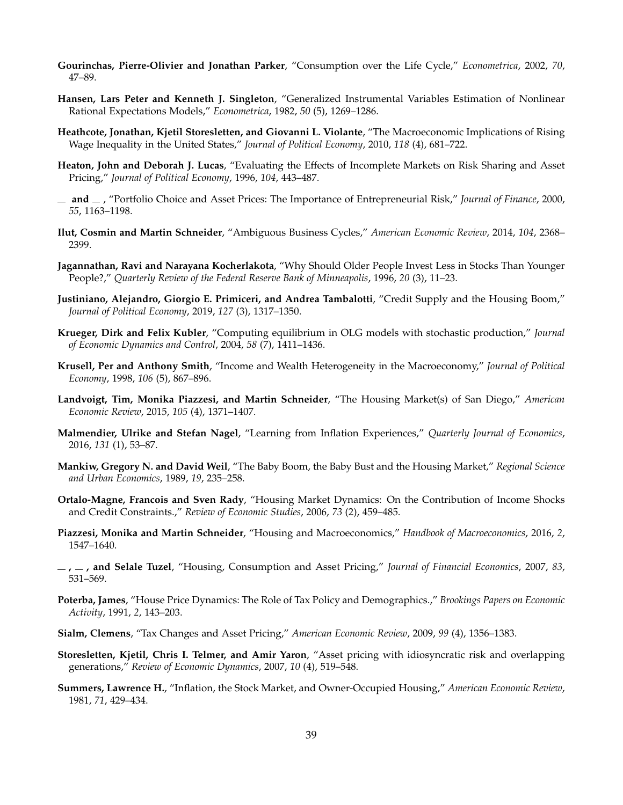- <span id="page-39-17"></span>**Gourinchas, Pierre-Olivier and Jonathan Parker**, "Consumption over the Life Cycle," *Econometrica*, 2002, *70*, 47–89.
- <span id="page-39-0"></span>**Hansen, Lars Peter and Kenneth J. Singleton**, "Generalized Instrumental Variables Estimation of Nonlinear Rational Expectations Models," *Econometrica*, 1982, *50* (5), 1269–1286.
- <span id="page-39-18"></span>**Heathcote, Jonathan, Kjetil Storesletten, and Giovanni L. Violante**, "The Macroeconomic Implications of Rising Wage Inequality in the United States," *Journal of Political Economy*, 2010, *118* (4), 681–722.
- <span id="page-39-7"></span>**Heaton, John and Deborah J. Lucas**, "Evaluating the Effects of Incomplete Markets on Risk Sharing and Asset Pricing," *Journal of Political Economy*, 1996, *104*, 443–487.
- <span id="page-39-16"></span>**and** , "Portfolio Choice and Asset Prices: The Importance of Entrepreneurial Risk," *Journal of Finance*, 2000, *55*, 1163–1198.
- <span id="page-39-13"></span>**Ilut, Cosmin and Martin Schneider**, "Ambiguous Business Cycles," *American Economic Review*, 2014, *104*, 2368– 2399.
- <span id="page-39-15"></span>**Jagannathan, Ravi and Narayana Kocherlakota**, "Why Should Older People Invest Less in Stocks Than Younger People?," *Quarterly Review of the Federal Reserve Bank of Minneapolis*, 1996, *20* (3), 11–23.
- <span id="page-39-11"></span>**Justiniano, Alejandro, Giorgio E. Primiceri, and Andrea Tambalotti**, "Credit Supply and the Housing Boom," *Journal of Political Economy*, 2019, *127* (3), 1317–1350.
- <span id="page-39-1"></span>**Krueger, Dirk and Felix Kubler**, "Computing equilibrium in OLG models with stochastic production," *Journal of Economic Dynamics and Control*, 2004, *58* (7), 1411–1436.
- <span id="page-39-8"></span>**Krusell, Per and Anthony Smith**, "Income and Wealth Heterogeneity in the Macroeconomy," *Journal of Political Economy*, 1998, *106* (5), 867–896.
- <span id="page-39-12"></span>**Landvoigt, Tim, Monika Piazzesi, and Martin Schneider**, "The Housing Market(s) of San Diego," *American Economic Review*, 2015, *105* (4), 1371–1407.
- <span id="page-39-6"></span>**Malmendier, Ulrike and Stefan Nagel**, "Learning from Inflation Experiences," *Quarterly Journal of Economics*, 2016, *131* (1), 53–87.
- <span id="page-39-2"></span>**Mankiw, Gregory N. and David Weil**, "The Baby Boom, the Baby Bust and the Housing Market," *Regional Science and Urban Economics*, 1989, *19*, 235–258.
- <span id="page-39-3"></span>**Ortalo-Magne, Francois and Sven Rady**, "Housing Market Dynamics: On the Contribution of Income Shocks and Credit Constraints.," *Review of Economic Studies*, 2006, *73* (2), 459–485.
- <span id="page-39-10"></span>**Piazzesi, Monika and Martin Schneider**, "Housing and Macroeconomics," *Handbook of Macroeconomics*, 2016, *2*, 1547–1640.
- <span id="page-39-19"></span>**, , and Selale Tuzel**, "Housing, Consumption and Asset Pricing," *Journal of Financial Economics*, 2007, *83*, 531–569.
- <span id="page-39-5"></span>**Poterba, James**, "House Price Dynamics: The Role of Tax Policy and Demographics.," *Brookings Papers on Economic Activity*, 1991, *2*, 143–203.
- <span id="page-39-14"></span>**Sialm, Clemens**, "Tax Changes and Asset Pricing," *American Economic Review*, 2009, *99* (4), 1356–1383.
- <span id="page-39-9"></span>**Storesletten, Kjetil, Chris I. Telmer, and Amir Yaron**, "Asset pricing with idiosyncratic risk and overlapping generations," *Review of Economic Dynamics*, 2007, *10* (4), 519–548.
- <span id="page-39-4"></span>**Summers, Lawrence H.**, "Inflation, the Stock Market, and Owner-Occupied Housing," *American Economic Review*, 1981, *71*, 429–434.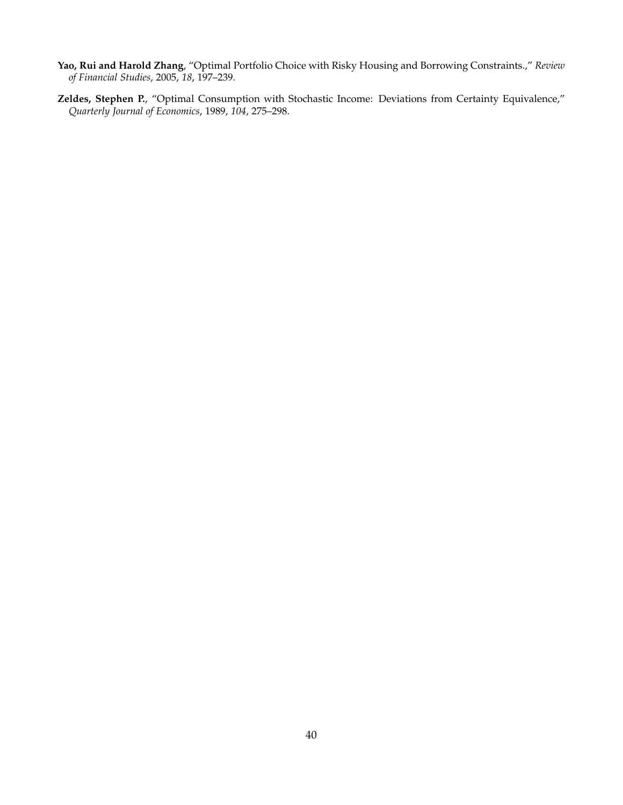- <span id="page-40-0"></span>**Yao, Rui and Harold Zhang**, "Optimal Portfolio Choice with Risky Housing and Borrowing Constraints.," *Review of Financial Studies*, 2005, *18*, 197–239.
- <span id="page-40-1"></span>**Zeldes, Stephen P.**, "Optimal Consumption with Stochastic Income: Deviations from Certainty Equivalence," *Quarterly Journal of Economics*, 1989, *104*, 275–298.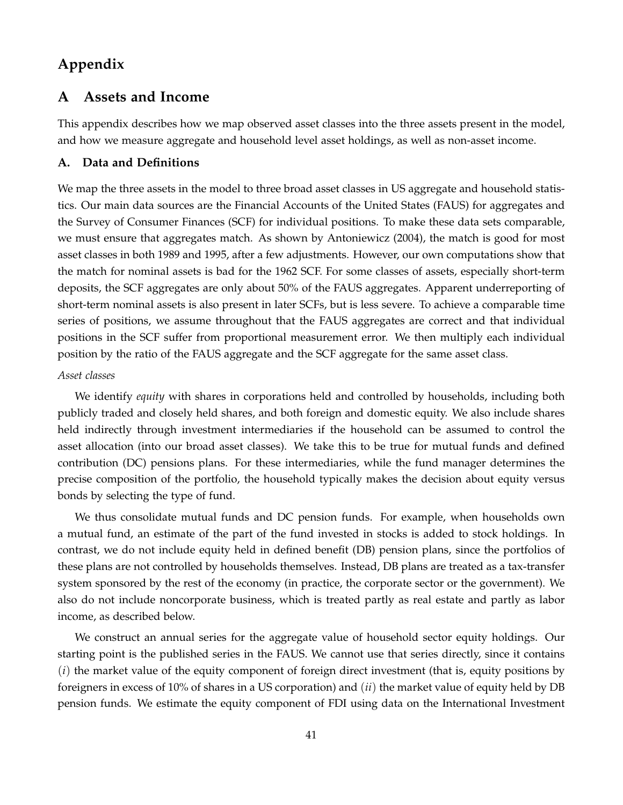# **Appendix**

# **A Assets and Income**

This appendix describes how we map observed asset classes into the three assets present in the model, and how we measure aggregate and household level asset holdings, as well as non-asset income.

# <span id="page-41-0"></span>**A. Data and Definitions**

We map the three assets in the model to three broad asset classes in US aggregate and household statistics. Our main data sources are the Financial Accounts of the United States (FAUS) for aggregates and the Survey of Consumer Finances (SCF) for individual positions. To make these data sets comparable, we must ensure that aggregates match. As shown by Antoniewicz (2004), the match is good for most asset classes in both 1989 and 1995, after a few adjustments. However, our own computations show that the match for nominal assets is bad for the 1962 SCF. For some classes of assets, especially short-term deposits, the SCF aggregates are only about 50% of the FAUS aggregates. Apparent underreporting of short-term nominal assets is also present in later SCFs, but is less severe. To achieve a comparable time series of positions, we assume throughout that the FAUS aggregates are correct and that individual positions in the SCF suffer from proportional measurement error. We then multiply each individual position by the ratio of the FAUS aggregate and the SCF aggregate for the same asset class.

# *Asset classes*

We identify *equity* with shares in corporations held and controlled by households, including both publicly traded and closely held shares, and both foreign and domestic equity. We also include shares held indirectly through investment intermediaries if the household can be assumed to control the asset allocation (into our broad asset classes). We take this to be true for mutual funds and defined contribution (DC) pensions plans. For these intermediaries, while the fund manager determines the precise composition of the portfolio, the household typically makes the decision about equity versus bonds by selecting the type of fund.

We thus consolidate mutual funds and DC pension funds. For example, when households own a mutual fund, an estimate of the part of the fund invested in stocks is added to stock holdings. In contrast, we do not include equity held in defined benefit (DB) pension plans, since the portfolios of these plans are not controlled by households themselves. Instead, DB plans are treated as a tax-transfer system sponsored by the rest of the economy (in practice, the corporate sector or the government). We also do not include noncorporate business, which is treated partly as real estate and partly as labor income, as described below.

We construct an annual series for the aggregate value of household sector equity holdings. Our starting point is the published series in the FAUS. We cannot use that series directly, since it contains (*i*) the market value of the equity component of foreign direct investment (that is, equity positions by foreigners in excess of 10% of shares in a US corporation) and (*ii*) the market value of equity held by DB pension funds. We estimate the equity component of FDI using data on the International Investment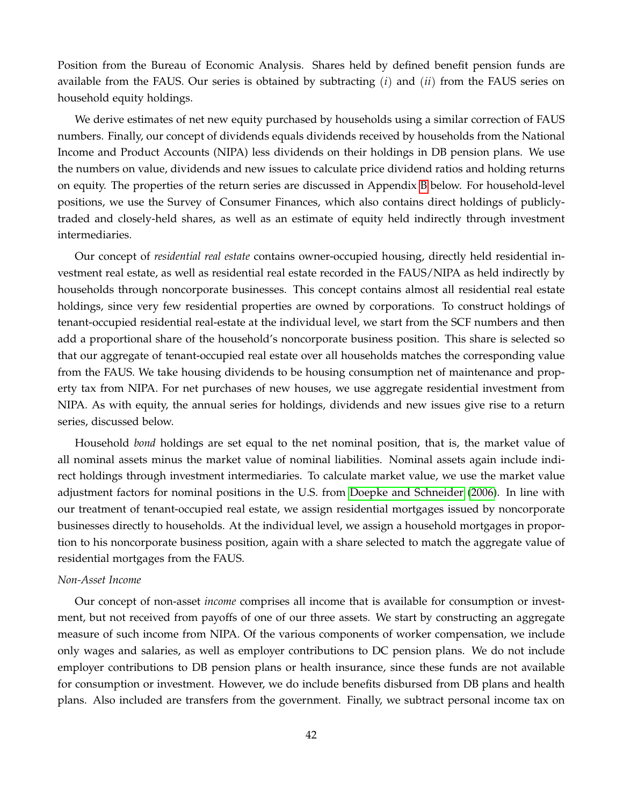Position from the Bureau of Economic Analysis. Shares held by defined benefit pension funds are available from the FAUS. Our series is obtained by subtracting (*i*) and (*ii*) from the FAUS series on household equity holdings.

We derive estimates of net new equity purchased by households using a similar correction of FAUS numbers. Finally, our concept of dividends equals dividends received by households from the National Income and Product Accounts (NIPA) less dividends on their holdings in DB pension plans. We use the numbers on value, dividends and new issues to calculate price dividend ratios and holding returns on equity. The properties of the return series are discussed in Appendix [B](#page-7-0) below. For household-level positions, we use the Survey of Consumer Finances, which also contains direct holdings of publiclytraded and closely-held shares, as well as an estimate of equity held indirectly through investment intermediaries.

Our concept of *residential real estate* contains owner-occupied housing, directly held residential investment real estate, as well as residential real estate recorded in the FAUS/NIPA as held indirectly by households through noncorporate businesses. This concept contains almost all residential real estate holdings, since very few residential properties are owned by corporations. To construct holdings of tenant-occupied residential real-estate at the individual level, we start from the SCF numbers and then add a proportional share of the household's noncorporate business position. This share is selected so that our aggregate of tenant-occupied real estate over all households matches the corresponding value from the FAUS. We take housing dividends to be housing consumption net of maintenance and property tax from NIPA. For net purchases of new houses, we use aggregate residential investment from NIPA. As with equity, the annual series for holdings, dividends and new issues give rise to a return series, discussed below.

Household *bond* holdings are set equal to the net nominal position, that is, the market value of all nominal assets minus the market value of nominal liabilities. Nominal assets again include indirect holdings through investment intermediaries. To calculate market value, we use the market value adjustment factors for nominal positions in the U.S. from [Doepke and Schneider](#page-38-15) [\(2006\)](#page-38-15). In line with our treatment of tenant-occupied real estate, we assign residential mortgages issued by noncorporate businesses directly to households. At the individual level, we assign a household mortgages in proportion to his noncorporate business position, again with a share selected to match the aggregate value of residential mortgages from the FAUS.

#### *Non-Asset Income*

Our concept of non-asset *income* comprises all income that is available for consumption or investment, but not received from payoffs of one of our three assets. We start by constructing an aggregate measure of such income from NIPA. Of the various components of worker compensation, we include only wages and salaries, as well as employer contributions to DC pension plans. We do not include employer contributions to DB pension plans or health insurance, since these funds are not available for consumption or investment. However, we do include benefits disbursed from DB plans and health plans. Also included are transfers from the government. Finally, we subtract personal income tax on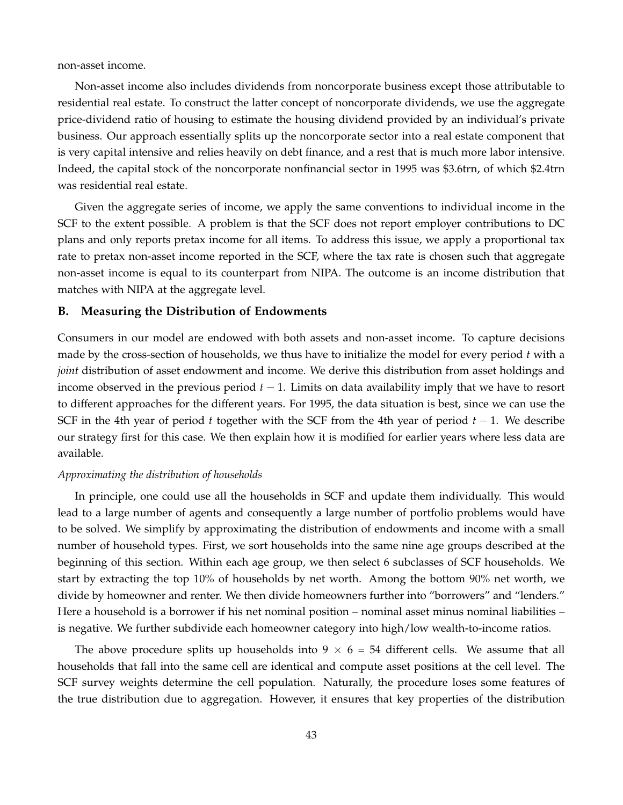non-asset income.

Non-asset income also includes dividends from noncorporate business except those attributable to residential real estate. To construct the latter concept of noncorporate dividends, we use the aggregate price-dividend ratio of housing to estimate the housing dividend provided by an individual's private business. Our approach essentially splits up the noncorporate sector into a real estate component that is very capital intensive and relies heavily on debt finance, and a rest that is much more labor intensive. Indeed, the capital stock of the noncorporate nonfinancial sector in 1995 was \$3.6trn, of which \$2.4trn was residential real estate.

Given the aggregate series of income, we apply the same conventions to individual income in the SCF to the extent possible. A problem is that the SCF does not report employer contributions to DC plans and only reports pretax income for all items. To address this issue, we apply a proportional tax rate to pretax non-asset income reported in the SCF, where the tax rate is chosen such that aggregate non-asset income is equal to its counterpart from NIPA. The outcome is an income distribution that matches with NIPA at the aggregate level.

#### **B. Measuring the Distribution of Endowments**

Consumers in our model are endowed with both assets and non-asset income. To capture decisions made by the cross-section of households, we thus have to initialize the model for every period *t* with a *joint* distribution of asset endowment and income. We derive this distribution from asset holdings and income observed in the previous period  $t - 1$ . Limits on data availability imply that we have to resort to different approaches for the different years. For 1995, the data situation is best, since we can use the SCF in the 4th year of period *t* together with the SCF from the 4th year of period *t* − 1. We describe our strategy first for this case. We then explain how it is modified for earlier years where less data are available.

#### *Approximating the distribution of households*

In principle, one could use all the households in SCF and update them individually. This would lead to a large number of agents and consequently a large number of portfolio problems would have to be solved. We simplify by approximating the distribution of endowments and income with a small number of household types. First, we sort households into the same nine age groups described at the beginning of this section. Within each age group, we then select 6 subclasses of SCF households. We start by extracting the top 10% of households by net worth. Among the bottom 90% net worth, we divide by homeowner and renter. We then divide homeowners further into "borrowers" and "lenders." Here a household is a borrower if his net nominal position – nominal asset minus nominal liabilities – is negative. We further subdivide each homeowner category into high/low wealth-to-income ratios.

The above procedure splits up households into  $9 \times 6 = 54$  different cells. We assume that all households that fall into the same cell are identical and compute asset positions at the cell level. The SCF survey weights determine the cell population. Naturally, the procedure loses some features of the true distribution due to aggregation. However, it ensures that key properties of the distribution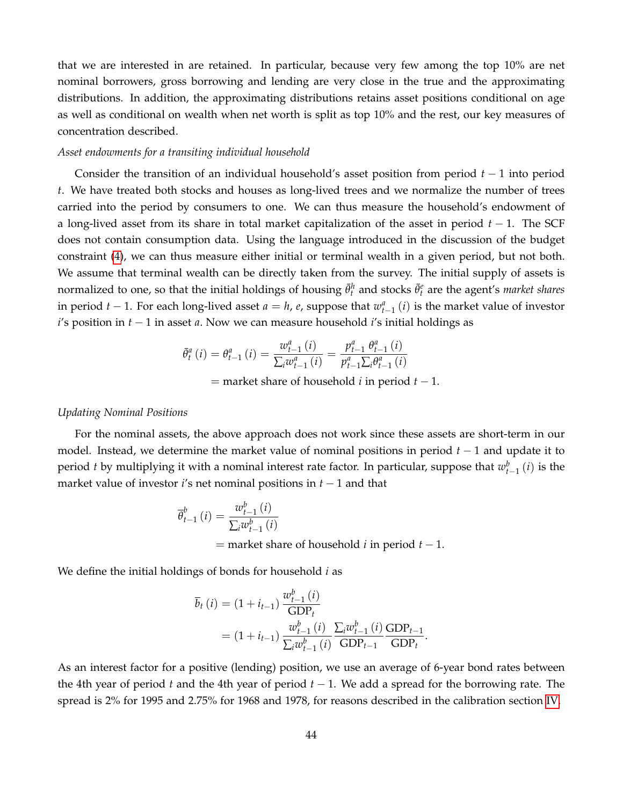that we are interested in are retained. In particular, because very few among the top 10% are net nominal borrowers, gross borrowing and lending are very close in the true and the approximating distributions. In addition, the approximating distributions retains asset positions conditional on age as well as conditional on wealth when net worth is split as top 10% and the rest, our key measures of concentration described.

#### *Asset endowments for a transiting individual household*

Consider the transition of an individual household's asset position from period *t* − 1 into period *t*. We have treated both stocks and houses as long-lived trees and we normalize the number of trees carried into the period by consumers to one. We can thus measure the household's endowment of a long-lived asset from its share in total market capitalization of the asset in period *t* − 1. The SCF does not contain consumption data. Using the language introduced in the discussion of the budget constraint [\(4\)](#page-9-2), we can thus measure either initial or terminal wealth in a given period, but not both. We assume that terminal wealth can be directly taken from the survey. The initial supply of assets is normalized to one, so that the initial holdings of housing  $\bar{\theta}^h_t$  and stocks  $\bar{\theta}^e_t$  are the agent's *market shares* in period *t* − 1. For each long-lived asset *a* = *h*, *e*, suppose that  $w_{t-1}^a(i)$  is the market value of investor *i*'s position in *t* − 1 in asset *a*. Now we can measure household *i*'s initial holdings as

$$
\bar{\theta}_{t}^{a}(i) = \theta_{t-1}^{a}(i) = \frac{w_{t-1}^{a}(i)}{\sum_{i}w_{t-1}^{a}(i)} = \frac{p_{t-1}^{a}\theta_{t-1}^{a}(i)}{p_{t-1}^{a}\sum_{i}\theta_{t-1}^{a}(i)}
$$

= market share of household *i* in period *t* − 1.

#### *Updating Nominal Positions*

For the nominal assets, the above approach does not work since these assets are short-term in our model. Instead, we determine the market value of nominal positions in period *t* − 1 and update it to period *t* by multiplying it with a nominal interest rate factor. In particular, suppose that  $w_{t-1}^b(i)$  is the market value of investor *i*'s net nominal positions in *t* − 1 and that

$$
\overline{\theta}_{t-1}^{b}(i) = \frac{w_{t-1}^{b}(i)}{\sum_{i} w_{t-1}^{b}(i)}
$$
  
= market share of household *i* in period *t* – 1.

We define the initial holdings of bonds for household *i* as

$$
\overline{b}_{t}(i) = (1 + i_{t-1}) \frac{w_{t-1}^{b}(i)}{\text{GDP}_{t}} \n= (1 + i_{t-1}) \frac{w_{t-1}^{b}(i)}{\sum_{i} w_{t-1}^{b}(i)} \frac{\sum_{i} w_{t-1}^{b}(i)}{\text{GDP}_{t-1}} \frac{\text{GDP}_{t-1}}{\text{GDP}_{t}}.
$$

As an interest factor for a positive (lending) position, we use an average of 6-year bond rates between the 4th year of period *t* and the 4th year of period *t* − 1. We add a spread for the borrowing rate. The spread is 2% for 1995 and 2.75% for 1968 and 1978, for reasons described in the calibration section [IV.](#page-22-0)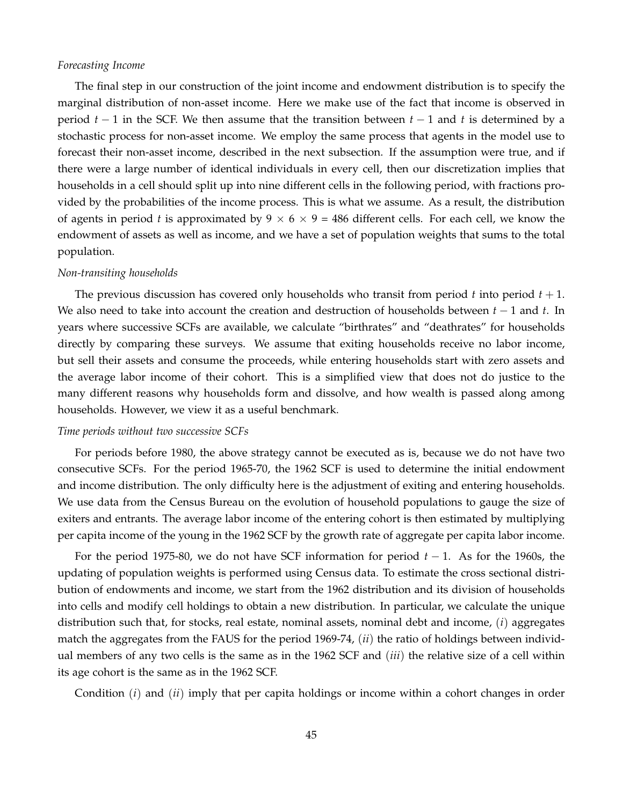#### *Forecasting Income*

The final step in our construction of the joint income and endowment distribution is to specify the marginal distribution of non-asset income. Here we make use of the fact that income is observed in period *t* − 1 in the SCF. We then assume that the transition between *t* − 1 and *t* is determined by a stochastic process for non-asset income. We employ the same process that agents in the model use to forecast their non-asset income, described in the next subsection. If the assumption were true, and if there were a large number of identical individuals in every cell, then our discretization implies that households in a cell should split up into nine different cells in the following period, with fractions provided by the probabilities of the income process. This is what we assume. As a result, the distribution of agents in period *t* is approximated by  $9 \times 6 \times 9 = 486$  different cells. For each cell, we know the endowment of assets as well as income, and we have a set of population weights that sums to the total population.

#### *Non-transiting households*

The previous discussion has covered only households who transit from period  $t$  into period  $t + 1$ . We also need to take into account the creation and destruction of households between *t* − 1 and *t*. In years where successive SCFs are available, we calculate "birthrates" and "deathrates" for households directly by comparing these surveys. We assume that exiting households receive no labor income, but sell their assets and consume the proceeds, while entering households start with zero assets and the average labor income of their cohort. This is a simplified view that does not do justice to the many different reasons why households form and dissolve, and how wealth is passed along among households. However, we view it as a useful benchmark.

## *Time periods without two successive SCFs*

For periods before 1980, the above strategy cannot be executed as is, because we do not have two consecutive SCFs. For the period 1965-70, the 1962 SCF is used to determine the initial endowment and income distribution. The only difficulty here is the adjustment of exiting and entering households. We use data from the Census Bureau on the evolution of household populations to gauge the size of exiters and entrants. The average labor income of the entering cohort is then estimated by multiplying per capita income of the young in the 1962 SCF by the growth rate of aggregate per capita labor income.

For the period 1975-80, we do not have SCF information for period *t* − 1. As for the 1960s, the updating of population weights is performed using Census data. To estimate the cross sectional distribution of endowments and income, we start from the 1962 distribution and its division of households into cells and modify cell holdings to obtain a new distribution. In particular, we calculate the unique distribution such that, for stocks, real estate, nominal assets, nominal debt and income, (*i*) aggregates match the aggregates from the FAUS for the period 1969-74, (*ii*) the ratio of holdings between individual members of any two cells is the same as in the 1962 SCF and (*iii*) the relative size of a cell within its age cohort is the same as in the 1962 SCF.

Condition (*i*) and (*ii*) imply that per capita holdings or income within a cohort changes in order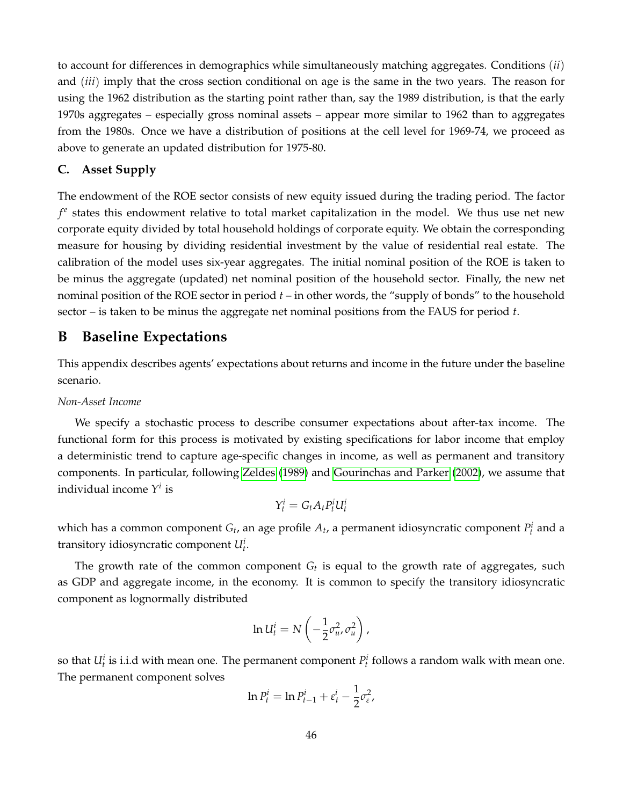to account for differences in demographics while simultaneously matching aggregates. Conditions (*ii*) and (*iii*) imply that the cross section conditional on age is the same in the two years. The reason for using the 1962 distribution as the starting point rather than, say the 1989 distribution, is that the early 1970s aggregates – especially gross nominal assets – appear more similar to 1962 than to aggregates from the 1980s. Once we have a distribution of positions at the cell level for 1969-74, we proceed as above to generate an updated distribution for 1975-80.

# **C. Asset Supply**

The endowment of the ROE sector consists of new equity issued during the trading period. The factor *f e* states this endowment relative to total market capitalization in the model. We thus use net new corporate equity divided by total household holdings of corporate equity. We obtain the corresponding measure for housing by dividing residential investment by the value of residential real estate. The calibration of the model uses six-year aggregates. The initial nominal position of the ROE is taken to be minus the aggregate (updated) net nominal position of the household sector. Finally, the new net nominal position of the ROE sector in period *t* – in other words, the "supply of bonds" to the household sector – is taken to be minus the aggregate net nominal positions from the FAUS for period *t*.

# **B Baseline Expectations**

This appendix describes agents' expectations about returns and income in the future under the baseline scenario.

#### *Non-Asset Income*

We specify a stochastic process to describe consumer expectations about after-tax income. The functional form for this process is motivated by existing specifications for labor income that employ a deterministic trend to capture age-specific changes in income, as well as permanent and transitory components. In particular, following [Zeldes](#page-40-1) [\(1989\)](#page-40-1) and [Gourinchas and Parker](#page-39-17) [\(2002\)](#page-39-17), we assume that individual income *Y i* is

$$
Y_t^i = G_t A_t P_t^i U_t^i
$$

which has a common component  $G_t$ , an age profile  $A_t$ , a permanent idiosyncratic component  $P_t^i$  and a transitory idiosyncratic component *U<sup>i</sup> t* .

The growth rate of the common component  $G_t$  is equal to the growth rate of aggregates, such as GDP and aggregate income, in the economy. It is common to specify the transitory idiosyncratic component as lognormally distributed

$$
\ln U_t^i = N\left(-\frac{1}{2}\sigma_u^2, \sigma_u^2\right),\,
$$

so that  $U_t^i$  is i.i.d with mean one. The permanent component  $P_t^i$  follows a random walk with mean one. The permanent component solves

$$
\ln P_t^i = \ln P_{t-1}^i + \varepsilon_t^i - \frac{1}{2} \sigma_\varepsilon^2,
$$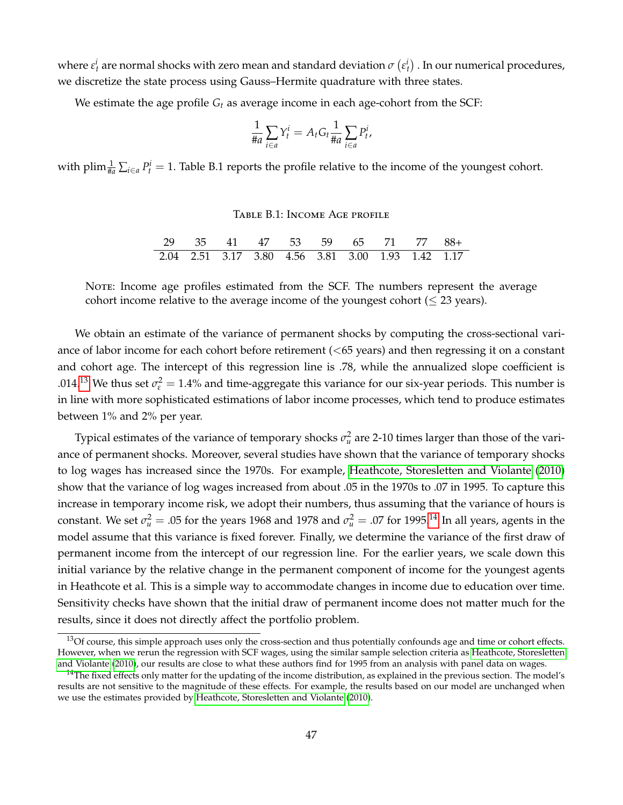where  $\varepsilon^i_t$  are normal shocks with zero mean and standard deviation  $\sigma\left(\varepsilon^i_t\right)$  . In our numerical procedures, we discretize the state process using Gauss–Hermite quadrature with three states.

We estimate the age profile *G<sup>t</sup>* as average income in each age-cohort from the SCF:

$$
\frac{1}{\#a} \sum_{i \in a} Y_t^i = A_t G_t \frac{1}{\#a} \sum_{i \in a} P_t^i,
$$

with plim  $\frac{1}{\#a} \sum_{i \in a} P_t^i = 1$ . Table B.1 reports the profile relative to the income of the youngest cohort.

#### Table B.1: Income Age profile

| 29 35 41 47 53 59 65 71 77 88+                    |  |  |  |  |  |
|---------------------------------------------------|--|--|--|--|--|
| 2.04 2.51 3.17 3.80 4.56 3.81 3.00 1.93 1.42 1.17 |  |  |  |  |  |

NOTE: Income age profiles estimated from the SCF. The numbers represent the average cohort income relative to the average income of the youngest cohort ( $\leq 23$  years).

We obtain an estimate of the variance of permanent shocks by computing the cross-sectional variance of labor income for each cohort before retirement (<65 years) and then regressing it on a constant and cohort age. The intercept of this regression line is .78, while the annualized slope coefficient is .014.<sup>[13](#page-47-0)</sup> We thus set  $\sigma_{\varepsilon}^2 = 1.4\%$  and time-aggregate this variance for our six-year periods. This number is in line with more sophisticated estimations of labor income processes, which tend to produce estimates between 1% and 2% per year.

Typical estimates of the variance of temporary shocks  $\sigma_u^2$  are 2-10 times larger than those of the variance of permanent shocks. Moreover, several studies have shown that the variance of temporary shocks to log wages has increased since the 1970s. For example, [Heathcote, Storesletten and Violante](#page-39-18) [\(2010\)](#page-39-18) show that the variance of log wages increased from about .05 in the 1970s to .07 in 1995. To capture this increase in temporary income risk, we adopt their numbers, thus assuming that the variance of hours is constant. We set  $\sigma_u^2 = .05$  for the years 1968 and 1978 and  $\sigma_u^2 = .07$  for 1995.<sup>[14](#page-47-1)</sup> In all years, agents in the model assume that this variance is fixed forever. Finally, we determine the variance of the first draw of permanent income from the intercept of our regression line. For the earlier years, we scale down this initial variance by the relative change in the permanent component of income for the youngest agents in Heathcote et al. This is a simple way to accommodate changes in income due to education over time. Sensitivity checks have shown that the initial draw of permanent income does not matter much for the results, since it does not directly affect the portfolio problem.

<span id="page-47-0"></span><sup>&</sup>lt;sup>13</sup>Of course, this simple approach uses only the cross-section and thus potentially confounds age and time or cohort effects. However, when we rerun the regression with SCF wages, using the similar sample selection criteria as [Heathcote, Storesletten](#page-39-18) [and Violante](#page-39-18) [\(2010\)](#page-39-18), our results are close to what these authors find for 1995 from an analysis with panel data on wages.

<span id="page-47-1"></span> $14$ The fixed effects only matter for the updating of the income distribution, as explained in the previous section. The model's results are not sensitive to the magnitude of these effects. For example, the results based on our model are unchanged when we use the estimates provided by [Heathcote, Storesletten and Violante](#page-39-18) [\(2010\)](#page-39-18).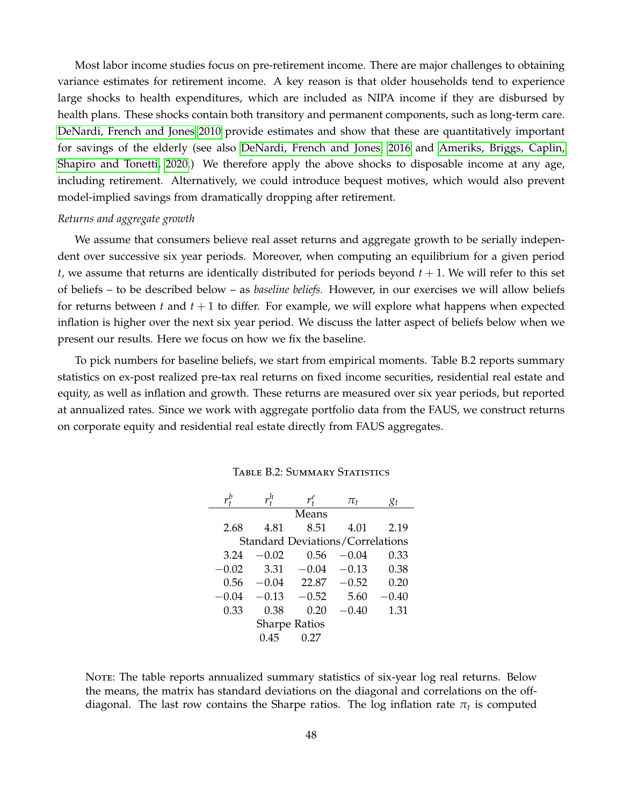Most labor income studies focus on pre-retirement income. There are major challenges to obtaining variance estimates for retirement income. A key reason is that older households tend to experience large shocks to health expenditures, which are included as NIPA income if they are disbursed by health plans. These shocks contain both transitory and permanent components, such as long-term care. [DeNardi, French and Jones 2010](#page-38-17) provide estimates and show that these are quantitatively important for savings of the elderly (see also [DeNardi, French and Jones, 2016](#page-38-18) and [Ameriks, Briggs, Caplin,](#page-38-19) [Shapiro and Tonetti, 2020.](#page-38-19)) We therefore apply the above shocks to disposable income at any age, including retirement. Alternatively, we could introduce bequest motives, which would also prevent model-implied savings from dramatically dropping after retirement.

#### *Returns and aggregate growth*

We assume that consumers believe real asset returns and aggregate growth to be serially independent over successive six year periods. Moreover, when computing an equilibrium for a given period  $t$ , we assume that returns are identically distributed for periods beyond  $t + 1$ . We will refer to this set of beliefs – to be described below – as *baseline beliefs.* However, in our exercises we will allow beliefs for returns between *t* and *t* + 1 to differ. For example, we will explore what happens when expected inflation is higher over the next six year period. We discuss the latter aspect of beliefs below when we present our results. Here we focus on how we fix the baseline.

To pick numbers for baseline beliefs, we start from empirical moments. Table B.2 reports summary statistics on ex-post realized pre-tax real returns on fixed income securities, residential real estate and equity, as well as inflation and growth. These returns are measured over six year periods, but reported at annualized rates. Since we work with aggregate portfolio data from the FAUS, we construct returns on corporate equity and residential real estate directly from FAUS aggregates.

|         |         | $\pi_t$                         | gι                                                       |
|---------|---------|---------------------------------|----------------------------------------------------------|
|         | Means   |                                 |                                                          |
| 4.81    | 8.51    | 4.01                            | 2.19                                                     |
|         |         |                                 |                                                          |
| $-0.02$ | 0.56    | $-0.04$                         | 0.33                                                     |
| 3.31    | $-0.04$ | $-0.13$                         | 0.38                                                     |
|         |         | $-0.52$                         | 0.20                                                     |
|         | $-0.52$ | 5.60                            | $-0.40$                                                  |
| 0.38    | 0.20    | $-0.40$                         | 1.31                                                     |
|         |         |                                 |                                                          |
| 0.45    | 0.27    |                                 |                                                          |
|         |         | $-0.13$<br><b>Sharpe Ratios</b> | <b>Standard Deviations/Correlations</b><br>$-0.04$ 22.87 |

Table B.2: Summary Statistics

NOTE: The table reports annualized summary statistics of six-year log real returns. Below the means, the matrix has standard deviations on the diagonal and correlations on the offdiagonal. The last row contains the Sharpe ratios. The log inflation rate *π<sup>t</sup>* is computed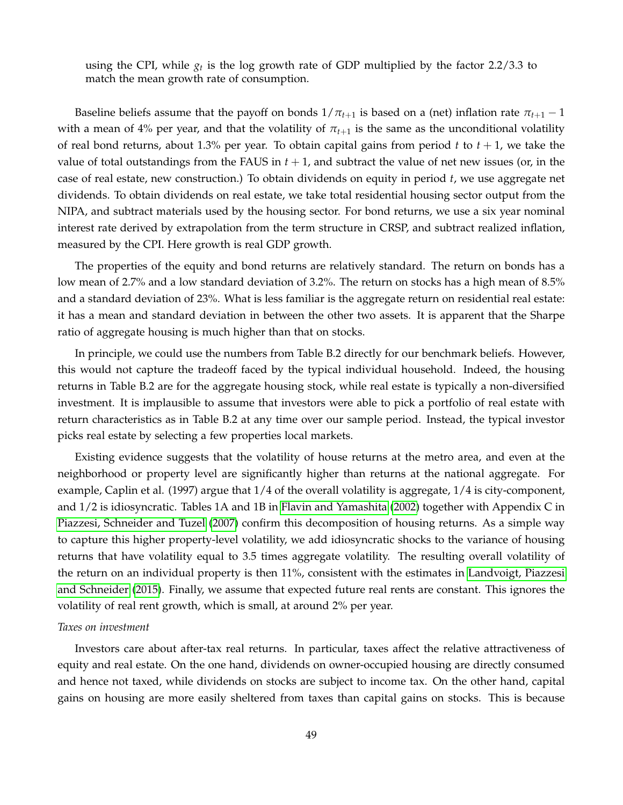using the CPI, while  $g_t$  is the log growth rate of GDP multiplied by the factor 2.2/3.3 to match the mean growth rate of consumption.

Baseline beliefs assume that the payoff on bonds  $1/\pi_{t+1}$  is based on a (net) inflation rate  $\pi_{t+1} - 1$ with a mean of 4% per year, and that the volatility of  $\pi_{t+1}$  is the same as the unconditional volatility of real bond returns, about 1.3% per year. To obtain capital gains from period *t* to *t* + 1, we take the value of total outstandings from the FAUS in  $t + 1$ , and subtract the value of net new issues (or, in the case of real estate, new construction.) To obtain dividends on equity in period *t*, we use aggregate net dividends. To obtain dividends on real estate, we take total residential housing sector output from the NIPA, and subtract materials used by the housing sector. For bond returns, we use a six year nominal interest rate derived by extrapolation from the term structure in CRSP, and subtract realized inflation, measured by the CPI. Here growth is real GDP growth.

The properties of the equity and bond returns are relatively standard. The return on bonds has a low mean of 2.7% and a low standard deviation of 3.2%. The return on stocks has a high mean of 8.5% and a standard deviation of 23%. What is less familiar is the aggregate return on residential real estate: it has a mean and standard deviation in between the other two assets. It is apparent that the Sharpe ratio of aggregate housing is much higher than that on stocks.

In principle, we could use the numbers from Table B.2 directly for our benchmark beliefs. However, this would not capture the tradeoff faced by the typical individual household. Indeed, the housing returns in Table B.2 are for the aggregate housing stock, while real estate is typically a non-diversified investment. It is implausible to assume that investors were able to pick a portfolio of real estate with return characteristics as in Table B.2 at any time over our sample period. Instead, the typical investor picks real estate by selecting a few properties local markets.

Existing evidence suggests that the volatility of house returns at the metro area, and even at the neighborhood or property level are significantly higher than returns at the national aggregate. For example, Caplin et al. (1997) argue that 1/4 of the overall volatility is aggregate, 1/4 is city-component, and 1/2 is idiosyncratic. Tables 1A and 1B in [Flavin and Yamashita](#page-38-11) [\(2002\)](#page-38-11) together with Appendix C in [Piazzesi, Schneider and Tuzel](#page-39-19) [\(2007\)](#page-39-19) confirm this decomposition of housing returns. As a simple way to capture this higher property-level volatility, we add idiosyncratic shocks to the variance of housing returns that have volatility equal to 3.5 times aggregate volatility. The resulting overall volatility of the return on an individual property is then 11%, consistent with the estimates in [Landvoigt, Piazzesi](#page-39-12) [and Schneider](#page-39-12) [\(2015\)](#page-39-12). Finally, we assume that expected future real rents are constant. This ignores the volatility of real rent growth, which is small, at around 2% per year.

#### *Taxes on investment*

Investors care about after-tax real returns. In particular, taxes affect the relative attractiveness of equity and real estate. On the one hand, dividends on owner-occupied housing are directly consumed and hence not taxed, while dividends on stocks are subject to income tax. On the other hand, capital gains on housing are more easily sheltered from taxes than capital gains on stocks. This is because